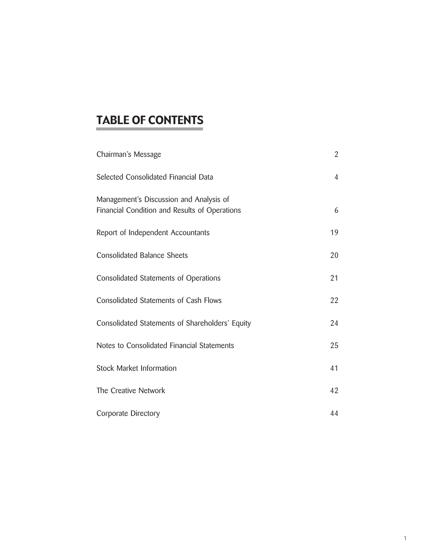# TABLE OF CONTENTS

| Chairman's Message                                                                       | $\overline{2}$ |
|------------------------------------------------------------------------------------------|----------------|
| Selected Consolidated Financial Data                                                     | $\overline{4}$ |
| Management's Discussion and Analysis of<br>Financial Condition and Results of Operations | 6              |
| Report of Independent Accountants                                                        | 19             |
| <b>Consolidated Balance Sheets</b>                                                       | 20             |
| Consolidated Statements of Operations                                                    | 21             |
| <b>Consolidated Statements of Cash Flows</b>                                             | 22             |
| Consolidated Statements of Shareholders' Equity                                          | 24             |
| Notes to Consolidated Financial Statements                                               | 25             |
| Stock Market Information                                                                 | 41             |
| The Creative Network                                                                     | 42             |
| Corporate Directory                                                                      | 44             |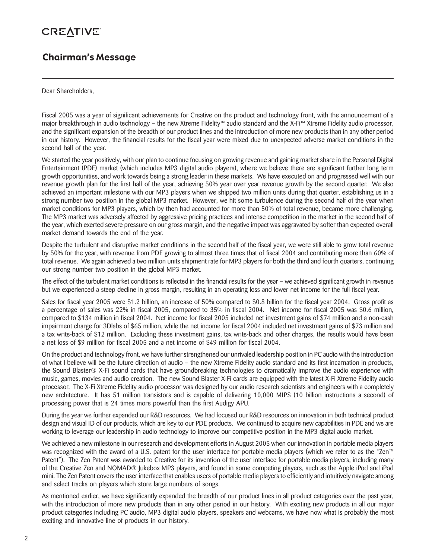### Chairman's Message

Dear Shareholders,

Fiscal 2005 was a year of significant achievements for Creative on the product and technology front, with the announcement of a major breakthrough in audio technology – the new Xtreme Fidelity™ audio standard and the X-Fi™ Xtreme Fidelity audio processor, and the significant expansion of the breadth of our product lines and the introduction of more new products than in any other period in our history. However, the financial results for the fiscal year were mixed due to unexpected adverse market conditions in the second half of the year.

We started the year positively, with our plan to continue focusing on growing revenue and gaining market share in the Personal Digital Entertainment (PDE) market (which includes MP3 digital audio players), where we believe there are significant further long term growth opportunities, and work towards being a strong leader in these markets. We have executed on and progressed well with our revenue growth plan for the first half of the year, achieving 50% year over year revenue growth by the second quarter. We also achieved an important milestone with our MP3 players when we shipped two million units during that quarter, establishing us in a strong number two position in the global MP3 market. However, we hit some turbulence during the second half of the year when market conditions for MP3 players, which by then had accounted for more than 50% of total revenue, became more challenging. The MP3 market was adversely affected by aggressive pricing practices and intense competition in the market in the second half of the year, which exerted severe pressure on our gross margin, and the negative impact was aggravated by softer than expected overall market demand towards the end of the year.

Despite the turbulent and disruptive market conditions in the second half of the fiscal year, we were still able to grow total revenue by 50% for the year, with revenue from PDE growing to almost three times that of fiscal 2004 and contributing more than 60% of total revenue. We again achieved a two million units shipment rate for MP3 players for both the third and fourth quarters, continuing our strong number two position in the global MP3 market.

The effect of the turbulent market conditions is reflected in the financial results for the year – we achieved significant growth in revenue but we experienced a steep decline in gross margin, resulting in an operating loss and lower net income for the full fiscal year.

Sales for fiscal year 2005 were \$1.2 billion, an increase of 50% compared to \$0.8 billion for the fiscal year 2004. Gross profit as a percentage of sales was 22% in fiscal 2005, compared to 35% in fiscal 2004. Net income for fiscal 2005 was \$0.6 million, compared to \$134 million in fiscal 2004. Net income for fiscal 2005 included net investment gains of \$74 million and a non-cash impairment charge for 3Dlabs of \$65 million, while the net income for fiscal 2004 included net investment gains of \$73 million and a tax write-back of \$12 million. Excluding these investment gains, tax write-back and other charges, the results would have been a net loss of \$9 million for fiscal 2005 and a net income of \$49 million for fiscal 2004.

On the product and technology front, we have further strengthened our unrivaled leadership position in PC audio with the introduction of what I believe will be the future direction of audio – the new Xtreme Fidelity audio standard and its first incarnation in products, the Sound Blaster® X-Fi sound cards that have groundbreaking technologies to dramatically improve the audio experience with music, games, movies and audio creation. The new Sound Blaster X-Fi cards are equipped with the latest X-Fi Xtreme Fidelity audio processor. The X-Fi Xtreme Fidelity audio processor was designed by our audio research scientists and engineers with a completely new architecture. It has 51 million transistors and is capable of delivering 10,000 MIPS (10 billion instructions a second) of processing power that is 24 times more powerful than the first Audigy APU.

During the year we further expanded our R&D resources. We had focused our R&D resources on innovation in both technical product design and visual ID of our products, which are key to our PDE products. We continued to acquire new capabilities in PDE and we are working to leverage our leadership in audio technology to improve our competitive position in the MP3 digital audio market.

We achieved a new milestone in our research and development efforts in August 2005 when our innovation in portable media players was recognized with the award of a U.S. patent for the user interface for portable media players (which we refer to as the "Zen™ Patent"). The Zen Patent was awarded to Creative for its invention of the user interface for portable media players, including many of the Creative Zen and NOMAD® Jukebox MP3 players, and found in some competing players, such as the Apple iPod and iPod mini. The Zen Patent covers the user interface that enables users of portable media players to efficiently and intuitively navigate among and select tracks on players which store large numbers of songs.

As mentioned earlier, we have significantly expanded the breadth of our product lines in all product categories over the past year, with the introduction of more new products than in any other period in our history. With exciting new products in all our major product categories including PC audio, MP3 digital audio players, speakers and webcams, we have now what is probably the most exciting and innovative line of products in our history.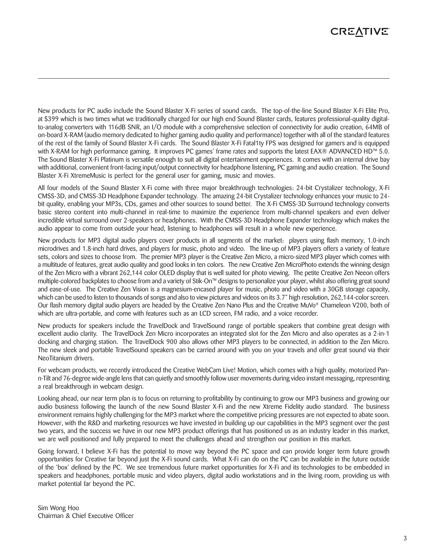New products for PC audio include the Sound Blaster X-Fi series of sound cards. The top-of-the-line Sound Blaster X-Fi Elite Pro, at \$399 which is two times what we traditionally charged for our high end Sound Blaster cards, features professional-quality digitalto-analog converters with 116dB SNR, an I/O module with a comprehensive selection of connectivity for audio creation, 64MB of on-board X-RAM (audio memory dedicated to higher gaming audio quality and performance) together with all of the standard features of the rest of the family of Sound Blaster X-Fi cards. The Sound Blaster X-Fi Fatal1ty FPS was designed for gamers and is equipped with X-RAM for high performance gaming. It improves PC games' frame rates and supports the latest EAX® ADVANCED HD™ 5.0. The Sound Blaster X-Fi Platinum is versatile enough to suit all digital entertainment experiences. It comes with an internal drive bay with additional, convenient front-facing input/output connectivity for headphone listening, PC gaming and audio creation. The Sound Blaster X-Fi XtremeMusic is perfect for the general user for gaming, music and movies.

All four models of the Sound Blaster X-Fi come with three major breakthrough technologies: 24-bit Crystalizer technology, X-Fi CMSS-3D, and CMSS-3D Headphone Expander technology. The amazing 24-bit Crystalizer technology enhances your music to 24 bit quality, enabling your MP3s, CDs, games and other sources to sound better. The X-Fi CMSS-3D Surround technology converts basic stereo content into multi-channel in real-time to maximize the experience from multi-channel speakers and even deliver incredible virtual surround over 2-speakers or headphones. With the CMSS-3D Headphone Expander technology which makes the audio appear to come from outside your head, listening to headphones will result in a whole new experience.

New products for MP3 digital audio players cover products in all segments of the market: players using flash memory, 1.0-inch microdrives and 1.8-inch hard drives, and players for music, photo and video. The line-up of MP3 players offers a variety of feature sets, colors and sizes to choose from. The premier MP3 player is the Creative Zen Micro, a micro-sized MP3 player which comes with a multitude of features, great audio quality and good looks in ten colors. The new Creative Zen MicroPhoto extends the winning design of the Zen Micro with a vibrant 262,144 color OLED display that is well suited for photo viewing. The petite Creative Zen Neeon offers multiple-colored backplates to choose from and a variety of Stik-On™ designs to personalize your player, whilst also offering great sound and ease-of-use. The Creative Zen Vision is a magnesium-encased player for music, photo and video with a 30GB storage capacity, which can be used to listen to thousands of songs and also to view pictures and videos on its 3.7" high resolution, 262,144-color screen. Our flash memory digital audio players are headed by the Creative Zen Nano Plus and the Creative MuVo**®** Chameleon V200, both of which are ultra-portable, and come with features such as an LCD screen, FM radio, and a voice recorder.

New products for speakers include the TravelDock and TravelSound range of portable speakers that combine great design with excellent audio clarity. The TravelDock Zen Micro incorporates an integrated slot for the Zen Micro and also operates as a 2-in-1 docking and charging station. The TravelDock 900 also allows other MP3 players to be connected, in addition to the Zen Micro. The new sleek and portable TravelSound speakers can be carried around with you on your travels and offer great sound via their NeoTitanium drivers.

For webcam products, we recently introduced the Creative WebCam Live! Motion, which comes with a high quality, motorized Pann-Tilt and 76-degree wide-angle lens that can quietly and smoothly follow user movements during video instant messaging, representing a real breakthrough in webcam design.

Looking ahead, our near term plan is to focus on returning to profitability by continuing to grow our MP3 business and growing our audio business following the launch of the new Sound Blaster X-Fi and the new Xtreme Fidelity audio standard. The business environment remains highly challenging for the MP3 market where the competitive pricing pressures are not expected to abate soon. However, with the R&D and marketing resources we have invested in building up our capabilities in the MP3 segment over the past two years, and the success we have in our new MP3 product offerings that has positioned us as an industry leader in this market, we are well positioned and fully prepared to meet the challenges ahead and strengthen our position in this market.

Going forward, I believe X-Fi has the potential to move way beyond the PC space and can provide longer term future growth opportunities for Creative far beyond just the X-Fi sound cards. What X-Fi can do on the PC can be available in the future outside of the 'box' defined by the PC. We see tremendous future market opportunities for X-Fi and its technologies to be embedded in speakers and headphones, portable music and video players, digital audio workstations and in the living room, providing us with market potential far beyond the PC.

Sim Wong Hoo Chairman & Chief Executive Officer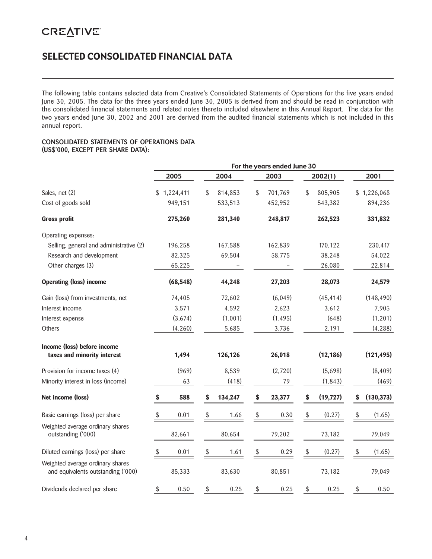### SELECTED CONSOLIDATED FINANCIAL DATA

The following table contains selected data from Creative's Consolidated Statements of Operations for the five years ended June 30, 2005. The data for the three years ended June 30, 2005 is derived from and should be read in conjunction with the consolidated financial statements and related notes thereto included elsewhere in this Annual Report. The data for the two years ended June 30, 2002 and 2001 are derived from the audited financial statements which is not included in this annual report.

#### **CONSOLIDATED STATEMENTS OF OPERATIONS DATA (US\$'000, EXCEPT PER SHARE DATA):**

|                                                                        | For the years ended June 30 |      |         |               |    |           |    |             |  |
|------------------------------------------------------------------------|-----------------------------|------|---------|---------------|----|-----------|----|-------------|--|
|                                                                        | 2005                        | 2004 |         | 2003          |    | 2002(1)   |    | 2001        |  |
| Sales, net (2)                                                         | 1,224,411<br>S.             | \$   | 814,853 | \$<br>701,769 | \$ | 805,905   |    | \$1,226,068 |  |
| Cost of goods sold                                                     | 949,151                     |      | 533,513 | 452,952       |    | 543,382   |    | 894,236     |  |
| <b>Gross profit</b>                                                    | 275,260                     |      | 281,340 | 248,817       |    | 262,523   |    | 331,832     |  |
| Operating expenses:                                                    |                             |      |         |               |    |           |    |             |  |
| Selling, general and administrative (2)                                | 196,258                     |      | 167,588 | 162,839       |    | 170,122   |    | 230,417     |  |
| Research and development                                               | 82,325                      |      | 69,504  | 58,775        |    | 38,248    |    | 54,022      |  |
| Other charges (3)                                                      | 65,225                      |      |         |               |    | 26,080    |    | 22,814      |  |
| <b>Operating (loss) income</b>                                         | (68, 548)                   |      | 44,248  | 27,203        |    | 28,073    |    | 24,579      |  |
| Gain (loss) from investments, net                                      | 74,405                      |      | 72,602  | (6,049)       |    | (45, 414) |    | (148, 490)  |  |
| Interest income                                                        | 3,571                       |      | 4,592   | 2,623         |    | 3,612     |    | 7,905       |  |
| Interest expense                                                       | (3,674)                     |      | (1,001) | (1, 495)      |    | (648)     |    | (1, 201)    |  |
| Others                                                                 | (4,260)                     |      | 5,685   | 3,736         |    | 2,191     |    | (4, 288)    |  |
| Income (loss) before income<br>taxes and minority interest             | 1,494                       |      | 126,126 | 26,018        |    | (12, 186) |    | (121, 495)  |  |
|                                                                        |                             |      |         |               |    |           |    |             |  |
| Provision for income taxes (4)                                         | (969)                       |      | 8,539   | (2,720)       |    | (5,698)   |    | (8,409)     |  |
| Minority interest in loss (income)                                     | 63                          |      | (418)   | 79            |    | (1, 843)  |    | (469)       |  |
| Net income (loss)                                                      | 588<br>\$                   | \$   | 134,247 | \$<br>23,377  | \$ | (19, 727) | \$ | (130, 373)  |  |
| Basic earnings (loss) per share                                        | 0.01<br>\$                  | \$   | 1.66    | \$<br>0.30    | \$ | (0.27)    | \$ | (1.65)      |  |
| Weighted average ordinary shares<br>outstanding ('000)                 | 82,661                      |      | 80,654  | 79,202        |    | 73,182    |    | 79,049      |  |
| Diluted earnings (loss) per share                                      | \$<br>0.01                  | \$   | 1.61    | \$<br>0.29    | \$ | (0.27)    | \$ | (1.65)      |  |
| Weighted average ordinary shares<br>and equivalents outstanding ('000) | 85,333                      |      | 83,630  | 80,851        |    | 73,182    |    | 79,049      |  |
| Dividends declared per share                                           | \$<br>0.50                  | \$   | 0.25    | \$<br>0.25    | \$ | 0.25      | \$ | 0.50        |  |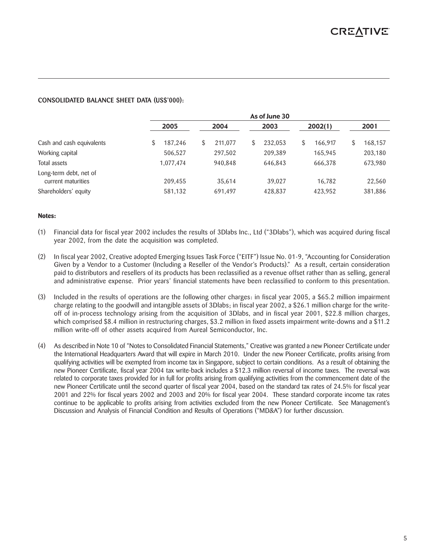#### **CONSOLIDATED BALANCE SHEET DATA (US\$'000):**

|                                              | As of June 30 |              |         |               |               |  |  |  |  |  |
|----------------------------------------------|---------------|--------------|---------|---------------|---------------|--|--|--|--|--|
|                                              | 2005          | 2004         | 2003    | 2002(1)       | 2001          |  |  |  |  |  |
| Cash and cash equivalents                    | \$<br>187.246 | 211,077<br>S | 232,053 | \$<br>166,917 | 168,157<br>\$ |  |  |  |  |  |
| Working capital                              | 506,527       | 297,502      | 209,389 | 165,945       | 203,180       |  |  |  |  |  |
| Total assets                                 | 1,077,474     | 940,848      | 646,843 | 666,378       | 673,980       |  |  |  |  |  |
| Long-term debt, net of<br>current maturities | 209,455       | 35.614       | 39,027  | 16.782        | 22,560        |  |  |  |  |  |
| Shareholders' equity                         | 581,132       | 691,497      | 428,837 | 423.952       | 381,886       |  |  |  |  |  |

#### **Notes:**

- (1) Financial data for fiscal year 2002 includes the results of 3Dlabs Inc., Ltd ("3Dlabs"), which was acquired during fiscal year 2002, from the date the acquisition was completed.
- (2) In fiscal year 2002, Creative adopted Emerging Issues Task Force ("EITF") Issue No. 01-9, "Accounting for Consideration Given by a Vendor to a Customer (Including a Reseller of the Vendor's Products)." As a result, certain consideration paid to distributors and resellers of its products has been reclassified as a revenue offset rather than as selling, general and administrative expense. Prior years' financial statements have been reclassified to conform to this presentation.
- (3) Included in the results of operations are the following other charges: in fiscal year 2005, a \$65.2 million impairment charge relating to the goodwill and intangible assets of 3Dlabs; in fiscal year 2002, a \$26.1 million charge for the writeoff of in-process technology arising from the acquisition of 3Dlabs, and in fiscal year 2001, \$22.8 million charges, which comprised \$8.4 million in restructuring charges, \$3.2 million in fixed assets impairment write-downs and a \$11.2 million write-off of other assets acquired from Aureal Semiconductor, Inc.
- (4) As described in Note 10 of "Notes to Consolidated Financial Statements," Creative was granted a new Pioneer Certificate under the International Headquarters Award that will expire in March 2010. Under the new Pioneer Certificate, profits arising from qualifying activities will be exempted from income tax in Singapore, subject to certain conditions. As a result of obtaining the new Pioneer Certificate, fiscal year 2004 tax write-back includes a \$12.3 million reversal of income taxes. The reversal was related to corporate taxes provided for in full for profits arising from qualifying activities from the commencement date of the new Pioneer Certificate until the second quarter of fiscal year 2004, based on the standard tax rates of 24.5% for fiscal year 2001 and 22% for fiscal years 2002 and 2003 and 20% for fiscal year 2004. These standard corporate income tax rates continue to be applicable to profits arising from activities excluded from the new Pioneer Certificate. See Management's Discussion and Analysis of Financial Condition and Results of Operations ("MD&A") for further discussion.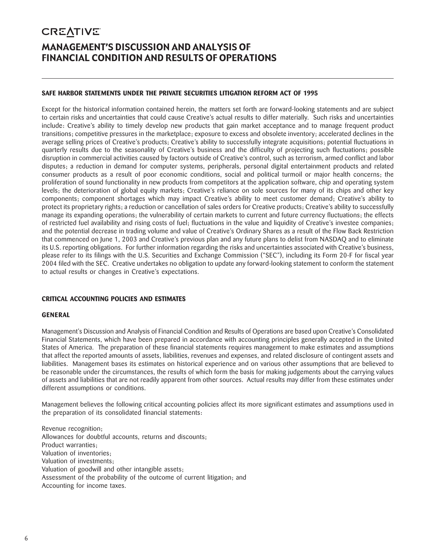### **CREATIVE** MANAGEMENT'S DISCUSSION AND ANALYSIS OF FINANCIAL CONDITION AND RESULTS OF OPERATIONS

#### **SAFE HARBOR STATEMENTS UNDER THE PRIVATE SECURITIES LITIGATION REFORM ACT OF 1995**

Except for the historical information contained herein, the matters set forth are forward-looking statements and are subject to certain risks and uncertainties that could cause Creative's actual results to differ materially. Such risks and uncertainties include: Creative's ability to timely develop new products that gain market acceptance and to manage frequent product transitions; competitive pressures in the marketplace; exposure to excess and obsolete inventory; accelerated declines in the average selling prices of Creative's products; Creative's ability to successfully integrate acquisitions; potential fluctuations in quarterly results due to the seasonality of Creative's business and the difficulty of projecting such fluctuations; possible disruption in commercial activities caused by factors outside of Creative's control, such as terrorism, armed conflict and labor disputes; a reduction in demand for computer systems, peripherals, personal digital entertainment products and related consumer products as a result of poor economic conditions, social and political turmoil or major health concerns; the proliferation of sound functionality in new products from competitors at the application software, chip and operating system levels; the deterioration of global equity markets; Creative's reliance on sole sources for many of its chips and other key components; component shortages which may impact Creative's ability to meet customer demand; Creative's ability to protect its proprietary rights; a reduction or cancellation of sales orders for Creative products; Creative's ability to successfully manage its expanding operations; the vulnerability of certain markets to current and future currency fluctuations; the effects of restricted fuel availability and rising costs of fuel; fluctuations in the value and liquidity of Creative's investee companies; and the potential decrease in trading volume and value of Creative's Ordinary Shares as a result of the Flow Back Restriction that commenced on June 1, 2003 and Creative's previous plan and any future plans to delist from NASDAQ and to eliminate its U.S. reporting obligations. For further information regarding the risks and uncertainties associated with Creative's business, please refer to its filings with the U.S. Securities and Exchange Commission ("SEC"), including its Form 20-F for fiscal year 2004 filed with the SEC. Creative undertakes no obligation to update any forward-looking statement to conform the statement to actual results or changes in Creative's expectations.

#### **CRITICAL ACCOUNTING POLICIES AND ESTIMATES**

#### **GENERAL**

Management's Discussion and Analysis of Financial Condition and Results of Operations are based upon Creative's Consolidated Financial Statements, which have been prepared in accordance with accounting principles generally accepted in the United States of America. The preparation of these financial statements requires management to make estimates and assumptions that affect the reported amounts of assets, liabilities, revenues and expenses, and related disclosure of contingent assets and liabilities. Management bases its estimates on historical experience and on various other assumptions that are believed to be reasonable under the circumstances, the results of which form the basis for making judgements about the carrying values of assets and liabilities that are not readily apparent from other sources. Actual results may differ from these estimates under different assumptions or conditions.

Management believes the following critical accounting policies affect its more significant estimates and assumptions used in the preparation of its consolidated financial statements:

Revenue recognition; Allowances for doubtful accounts, returns and discounts; Product warranties; Valuation of inventories; Valuation of investments; Valuation of goodwill and other intangible assets; Assessment of the probability of the outcome of current litigation; and Accounting for income taxes.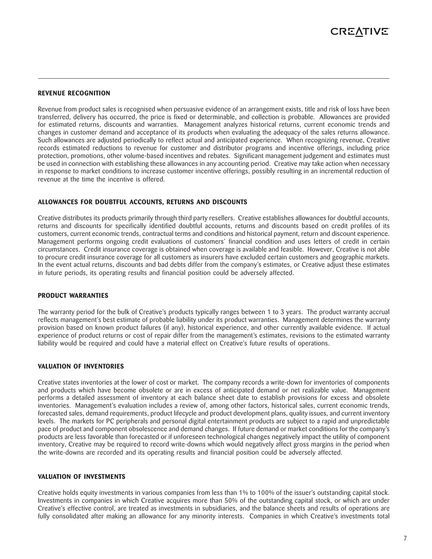#### **REVENUE RECOGNITION**

Revenue from product sales is recognised when persuasive evidence of an arrangement exists, title and risk of loss have been transferred, delivery has occurred, the price is fixed or determinable, and collection is probable. Allowances are provided for estimated returns, discounts and warranties. Management analyzes historical returns, current economic trends and changes in customer demand and acceptance of its products when evaluating the adequacy of the sales returns allowance. Such allowances are adjusted periodically to reflect actual and anticipated experience. When recognizing revenue, Creative records estimated reductions to revenue for customer and distributor programs and incentive offerings, including price protection, promotions, other volume-based incentives and rebates. Significant management judgement and estimates must be used in connection with establishing these allowances in any accounting period. Creative may take action when necessary in response to market conditions to increase customer incentive offerings, possibly resulting in an incremental reduction of revenue at the time the incentive is offered.

#### **ALLOWANCES FOR DOUBTFUL ACCOUNTS, RETURNS AND DISCOUNTS**

Creative distributes its products primarily through third party resellers. Creative establishes allowances for doubtful accounts, returns and discounts for specifically identified doubtful accounts, returns and discounts based on credit profiles of its customers, current economic trends, contractual terms and conditions and historical payment, return and discount experience. Management performs ongoing credit evaluations of customers' financial condition and uses letters of credit in certain circumstances. Credit insurance coverage is obtained when coverage is available and feasible. However, Creative is not able to procure credit insurance coverage for all customers as insurers have excluded certain customers and geographic markets. In the event actual returns, discounts and bad debts differ from the company's estimates, or Creative adjust these estimates in future periods, its operating results and financial position could be adversely affected.

#### **PRODUCT WARRANTIES**

The warranty period for the bulk of Creative's products typically ranges between 1 to 3 years. The product warranty accrual reflects management's best estimate of probable liability under its product warranties. Management determines the warranty provision based on known product failures (if any), historical experience, and other currently available evidence. If actual experience of product returns or cost of repair differ from the management's estimates, revisions to the estimated warranty liability would be required and could have a material effect on Creative's future results of operations.

#### **VALUATION OF INVENTORIES**

Creative states inventories at the lower of cost or market. The company records a write-down for inventories of components and products which have become obsolete or are in excess of anticipated demand or net realizable value. Management performs a detailed assessment of inventory at each balance sheet date to establish provisions for excess and obsolete inventories. Management's evaluation includes a review of, among other factors, historical sales, current economic trends, forecasted sales, demand requirements, product lifecycle and product development plans, quality issues, and current inventory levels. The markets for PC peripherals and personal digital entertainment products are subject to a rapid and unpredictable pace of product and component obsolescence and demand changes. If future demand or market conditions for the company's products are less favorable than forecasted or if unforeseen technological changes negatively impact the utility of component inventory, Creative may be required to record write-downs which would negatively affect gross margins in the period when the write-downs are recorded and its operating results and financial position could be adversely affected.

#### **VALUATION OF INVESTMENTS**

Creative holds equity investments in various companies from less than 1% to 100% of the issuer's outstanding capital stock. Investments in companies in which Creative acquires more than 50% of the outstanding capital stock, or which are under Creative's effective control, are treated as investments in subsidiaries, and the balance sheets and results of operations are fully consolidated after making an allowance for any minority interests. Companies in which Creative's investments total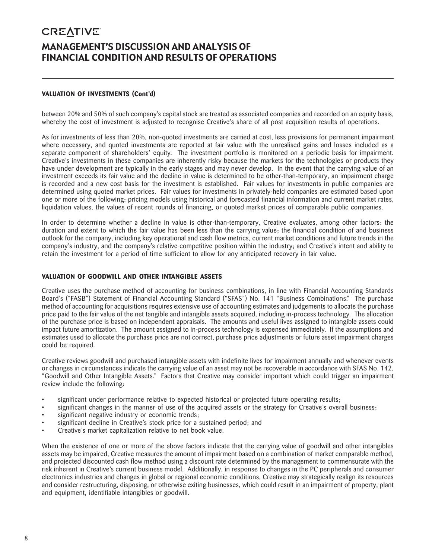### **CREATIVE** MANAGEMENT'S DISCUSSION AND ANALYSIS OF FINANCIAL CONDITION AND RESULTS OF OPERATIONS

#### **VALUATION OF INVESTMENTS (Cont'd)**

between 20% and 50% of such company's capital stock are treated as associated companies and recorded on an equity basis, whereby the cost of investment is adjusted to recognise Creative's share of all post acquisition results of operations.

As for investments of less than 20%, non-quoted investments are carried at cost, less provisions for permanent impairment where necessary, and quoted investments are reported at fair value with the unrealised gains and losses included as a separate component of shareholders' equity. The investment portfolio is monitored on a periodic basis for impairment. Creative's investments in these companies are inherently risky because the markets for the technologies or products they have under development are typically in the early stages and may never develop. In the event that the carrying value of an investment exceeds its fair value and the decline in value is determined to be other-than-temporary, an impairment charge is recorded and a new cost basis for the investment is established. Fair values for investments in public companies are determined using quoted market prices. Fair values for investments in privately-held companies are estimated based upon one or more of the following: pricing models using historical and forecasted financial information and current market rates, liquidation values, the values of recent rounds of financing, or quoted market prices of comparable public companies.

In order to determine whether a decline in value is other-than-temporary, Creative evaluates, among other factors: the duration and extent to which the fair value has been less than the carrying value; the financial condition of and business outlook for the company, including key operational and cash flow metrics, current market conditions and future trends in the company's industry, and the company's relative competitive position within the industry; and Creative's intent and ability to retain the investment for a period of time sufficient to allow for any anticipated recovery in fair value.

#### **VALUATION OF GOODWILL AND OTHER INTANGIBLE ASSETS**

Creative uses the purchase method of accounting for business combinations, in line with Financial Accounting Standards Board's ("FASB") Statement of Financial Accounting Standard ("SFAS") No. 141 "Business Combinations." The purchase method of accounting for acquisitions requires extensive use of accounting estimates and judgements to allocate the purchase price paid to the fair value of the net tangible and intangible assets acquired, including in-process technology. The allocation of the purchase price is based on independent appraisals. The amounts and useful lives assigned to intangible assets could impact future amortization. The amount assigned to in-process technology is expensed immediately. If the assumptions and estimates used to allocate the purchase price are not correct, purchase price adjustments or future asset impairment charges could be required.

Creative reviews goodwill and purchased intangible assets with indefinite lives for impairment annually and whenever events or changes in circumstances indicate the carrying value of an asset may not be recoverable in accordance with SFAS No. 142, "Goodwill and Other Intangible Assets." Factors that Creative may consider important which could trigger an impairment review include the following:

- significant under performance relative to expected historical or projected future operating results;
- significant changes in the manner of use of the acquired assets or the strategy for Creative's overall business;
- significant negative industry or economic trends;
- significant decline in Creative's stock price for a sustained period; and
- Creative's market capitalization relative to net book value.

When the existence of one or more of the above factors indicate that the carrying value of goodwill and other intangibles assets may be impaired, Creative measures the amount of impairment based on a combination of market comparable method, and projected discounted cash flow method using a discount rate determined by the management to commensurate with the risk inherent in Creative's current business model. Additionally, in response to changes in the PC peripherals and consumer electronics industries and changes in global or regional economic conditions, Creative may strategically realign its resources and consider restructuring, disposing, or otherwise exiting businesses, which could result in an impairment of property, plant and equipment, identifiable intangibles or goodwill.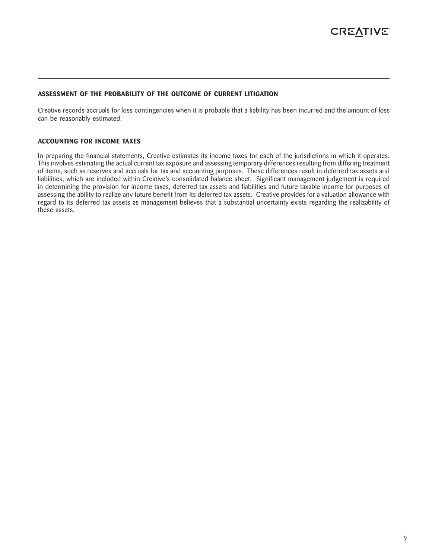#### **ASSESSMENT OF THE PROBABILITY OF THE OUTCOME OF CURRENT LITIGATION**

Creative records accruals for loss contingencies when it is probable that a liability has been incurred and the amount of loss can be reasonably estimated.

#### **ACCOUNTING FOR INCOME TAXES**

In preparing the financial statements, Creative estimates its income taxes for each of the jurisdictions in which it operates. This involves estimating the actual current tax exposure and assessing temporary differences resulting from differing treatment of items, such as reserves and accruals for tax and accounting purposes. These differences result in deferred tax assets and liabilities, which are included within Creative's consolidated balance sheet. Significant management judgement is required in determining the provision for income taxes, deferred tax assets and liabilities and future taxable income for purposes of assessing the ability to realize any future benefit from its deferred tax assets. Creative provides for a valuation allowance with regard to its deferred tax assets as management believes that a substantial uncertainty exists regarding the realizability of these assets.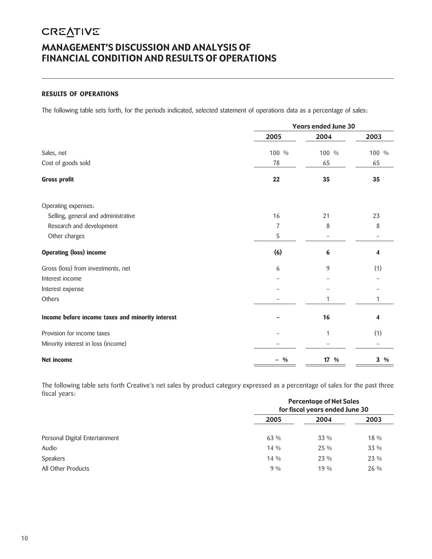### **CREATIVE** MANAGEMENT'S DISCUSSION AND ANALYSIS OF FINANCIAL CONDITION AND RESULTS OF OPERATIONS

#### **RESULTS OF OPERATIONS**

The following table sets forth, for the periods indicated, selected statement of operations data as a percentage of sales:

|                                                  |                                                                                              | <b>Years ended June 30</b> |                 |  |  |  |
|--------------------------------------------------|----------------------------------------------------------------------------------------------|----------------------------|-----------------|--|--|--|
|                                                  | 2005                                                                                         | 2004                       | 2003            |  |  |  |
| Sales, net                                       | 100 %                                                                                        | 100 %                      | 100 %           |  |  |  |
| Cost of goods sold                               | 78                                                                                           | 65                         | 65              |  |  |  |
| <b>Gross profit</b>                              | 22<br>35<br>16<br>21<br>7<br>8<br>5<br>(6)<br>6<br>9<br>6<br>1<br>16<br>1<br>17 %<br>$- 9/0$ | 35                         |                 |  |  |  |
| Operating expenses:                              |                                                                                              |                            |                 |  |  |  |
| Selling, general and administrative              |                                                                                              |                            | 23              |  |  |  |
| Research and development                         |                                                                                              |                            | 8               |  |  |  |
| Other charges                                    |                                                                                              |                            |                 |  |  |  |
| <b>Operating (loss) income</b>                   |                                                                                              |                            | 4               |  |  |  |
| Gross (loss) from investments, net               |                                                                                              |                            | (1)             |  |  |  |
| Interest income                                  |                                                                                              |                            |                 |  |  |  |
| Interest expense                                 |                                                                                              |                            |                 |  |  |  |
| Others                                           |                                                                                              |                            | 1               |  |  |  |
| Income before income taxes and minority interest |                                                                                              |                            | 4               |  |  |  |
| Provision for income taxes                       |                                                                                              |                            | (1)             |  |  |  |
| Minority interest in loss (income)               |                                                                                              |                            |                 |  |  |  |
| Net income                                       |                                                                                              |                            | $3 \frac{9}{6}$ |  |  |  |

The following table sets forth Creative's net sales by product category expressed as a percentage of sales for the past three fiscal years:

|                                | <b>Percentage of Net Sales</b><br>for fiscal years ended June 30 |        |      |  |  |  |
|--------------------------------|------------------------------------------------------------------|--------|------|--|--|--|
|                                | 2005                                                             | 2004   | 2003 |  |  |  |
| Personal Digital Entertainment | 63 %                                                             | $33\%$ | 18 % |  |  |  |
| Audio                          | $14\%$                                                           | 25 %   | 33 % |  |  |  |
| <b>Speakers</b>                | $14\%$                                                           | 23 %   | 23 % |  |  |  |
| All Other Products             | $9\%$                                                            | $19\%$ | 26 % |  |  |  |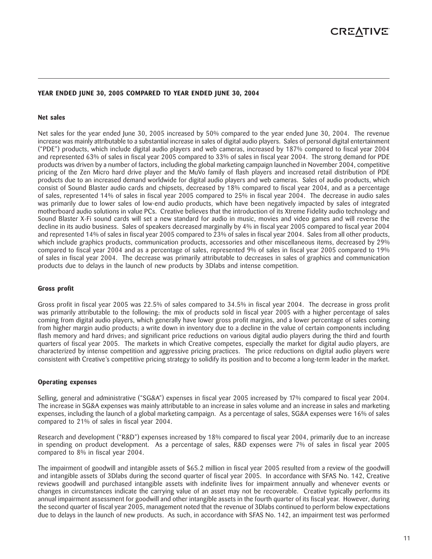#### **YEAR ENDED JUNE 30, 2005 COMPARED TO YEAR ENDED JUNE 30, 2004**

#### **Net sales**

Net sales for the year ended June 30, 2005 increased by 50% compared to the year ended June 30, 2004. The revenue increase was mainly attributable to a substantial increase in sales of digital audio players. Sales of personal digital entertainment ("PDE") products, which include digital audio players and web cameras, increased by 187% compared to fiscal year 2004 and represented 63% of sales in fiscal year 2005 compared to 33% of sales in fiscal year 2004. The strong demand for PDE products was driven by a number of factors, including the global marketing campaign launched in November 2004, competitive pricing of the Zen Micro hard drive player and the MuVo family of flash players and increased retail distribution of PDE products due to an increased demand worldwide for digital audio players and web cameras. Sales of audio products, which consist of Sound Blaster audio cards and chipsets, decreased by 18% compared to fiscal year 2004, and as a percentage of sales, represented 14% of sales in fiscal year 2005 compared to 25% in fiscal year 2004. The decrease in audio sales was primarily due to lower sales of low-end audio products, which have been negatively impacted by sales of integrated motherboard audio solutions in value PCs. Creative believes that the introduction of its Xtreme Fidelity audio technology and Sound Blaster X-Fi sound cards will set a new standard for audio in music, movies and video games and will reverse the decline in its audio business. Sales of speakers decreased marginally by 4% in fiscal year 2005 compared to fiscal year 2004 and represented 14% of sales in fiscal year 2005 compared to 23% of sales in fiscal year 2004. Sales from all other products, which include graphics products, communication products, accessories and other miscellaneous items, decreased by 29% compared to fiscal year 2004 and as a percentage of sales, represented 9% of sales in fiscal year 2005 compared to 19% of sales in fiscal year 2004. The decrease was primarily attributable to decreases in sales of graphics and communication products due to delays in the launch of new products by 3Dlabs and intense competition.

#### **Gross profit**

Gross profit in fiscal year 2005 was 22.5% of sales compared to 34.5% in fiscal year 2004. The decrease in gross profit was primarily attributable to the following: the mix of products sold in fiscal year 2005 with a higher percentage of sales coming from digital audio players, which generally have lower gross profit margins, and a lower percentage of sales coming from higher margin audio products; a write down in inventory due to a decline in the value of certain components including flash memory and hard drives; and significant price reductions on various digital audio players during the third and fourth quarters of fiscal year 2005. The markets in which Creative competes, especially the market for digital audio players, are characterized by intense competition and aggressive pricing practices. The price reductions on digital audio players were consistent with Creative's competitive pricing strategy to solidify its position and to become a long-term leader in the market.

#### **Operating expenses**

Selling, general and administrative ("SG&A") expenses in fiscal year 2005 increased by 17% compared to fiscal year 2004. The increase in SG&A expenses was mainly attributable to an increase in sales volume and an increase in sales and marketing expenses, including the launch of a global marketing campaign. As a percentage of sales, SG&A expenses were 16% of sales compared to 21% of sales in fiscal year 2004.

Research and development ("R&D") expenses increased by 18% compared to fiscal year 2004, primarily due to an increase in spending on product development. As a percentage of sales, R&D expenses were 7% of sales in fiscal year 2005 compared to 8% in fiscal year 2004.

The impairment of goodwill and intangible assets of \$65.2 million in fiscal year 2005 resulted from a review of the goodwill and intangible assets of 3Dlabs during the second quarter of fiscal year 2005. In accordance with SFAS No. 142, Creative reviews goodwill and purchased intangible assets with indefinite lives for impairment annually and whenever events or changes in circumstances indicate the carrying value of an asset may not be recoverable. Creative typically performs its annual impairment assessment for goodwill and other intangible assets in the fourth quarter of its fiscal year. However, during the second quarter of fiscal year 2005, management noted that the revenue of 3Dlabs continued to perform below expectations due to delays in the launch of new products. As such, in accordance with SFAS No. 142, an impairment test was performed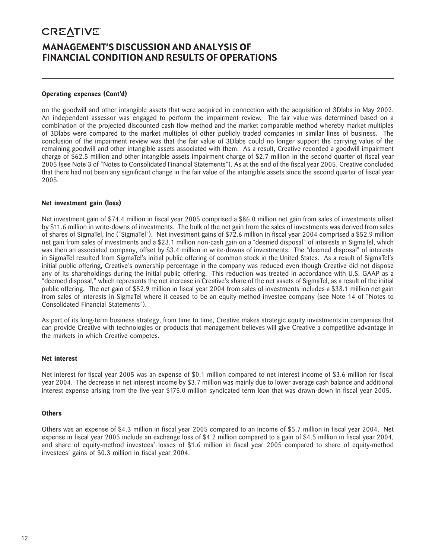### **CREATIVE** MANAGEMENT'S DISCUSSION AND ANALYSIS OF FINANCIAL CONDITION AND RESULTS OF OPERATIONS

#### **Operating expenses (Cont'd)**

on the goodwill and other intangible assets that were acquired in connection with the acquisition of 3Dlabs in May 2002. An independent assessor was engaged to perform the impairment review. The fair value was determined based on a combination of the projected discounted cash flow method and the market comparable method whereby market multiples of 3Dlabs were compared to the market multiples of other publicly traded companies in similar lines of business. The conclusion of the impairment review was that the fair value of 3Dlabs could no longer support the carrying value of the remaining goodwill and other intangible assets associated with them. As a result, Creative recorded a goodwill impairment charge of \$62.5 million and other intangible assets impairment charge of \$2.7 million in the second quarter of fiscal year 2005 (see Note 3 of "Notes to Consolidated Financial Statements"). As at the end of the fiscal year 2005, Creative concluded that there had not been any significant change in the fair value of the intangible assets since the second quarter of fiscal year 2005.

#### **Net investment gain (loss)**

Net investment gain of \$74.4 million in fiscal year 2005 comprised a \$86.0 million net gain from sales of investments offset by \$11.6 million in write-downs of investments. The bulk of the net gain from the sales of investments was derived from sales of shares of SigmaTel, Inc ("SigmaTel"). Net investment gains of \$72.6 million in fiscal year 2004 comprised a \$52.9 million net gain from sales of investments and a \$23.1 million non-cash gain on a "deemed disposal" of interests in SigmaTel, which was then an associated company, offset by \$3.4 million in write-downs of investments. The "deemed disposal" of interests in SigmaTel resulted from SigmaTel's initial public offering of common stock in the United States. As a result of SigmaTel's initial public offering, Creative's ownership percentage in the company was reduced even though Creative did not dispose any of its shareholdings during the initial public offering. This reduction was treated in accordance with U.S. GAAP as a "deemed disposal," which represents the net increase in Creative's share of the net assets of SigmaTel, as a result of the initial public offering. The net gain of \$52.9 million in fiscal year 2004 from sales of investments includes a \$38.1 million net gain from sales of interests in SigmaTel where it ceased to be an equity-method investee company (see Note 14 of "Notes to Consolidated Financial Statements").

As part of its long-term business strategy, from time to time, Creative makes strategic equity investments in companies that can provide Creative with technologies or products that management believes will give Creative a competitive advantage in the markets in which Creative competes.

#### **Net interest**

Net interest for fiscal year 2005 was an expense of \$0.1 million compared to net interest income of \$3.6 million for fiscal year 2004. The decrease in net interest income by \$3.7 million was mainly due to lower average cash balance and additional interest expense arising from the five-year \$175.0 million syndicated term loan that was drawn-down in fiscal year 2005.

#### **Others**

Others was an expense of \$4.3 million in fiscal year 2005 compared to an income of \$5.7 million in fiscal year 2004. Net expense in fiscal year 2005 include an exchange loss of \$4.2 million compared to a gain of \$4.5 million in fiscal year 2004, and share of equity-method investees' losses of \$1.6 million in fiscal year 2005 compared to share of equity-method investees' gains of \$0.3 million in fiscal year 2004.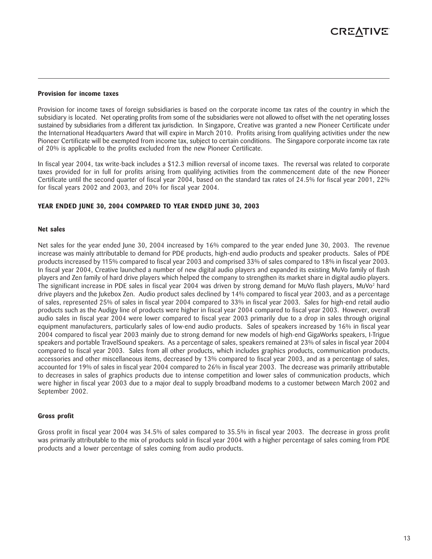#### **Provision for income taxes**

Provision for income taxes of foreign subsidiaries is based on the corporate income tax rates of the country in which the subsidiary is located. Net operating profits from some of the subsidiaries were not allowed to offset with the net operating losses sustained by subsidiaries from a different tax jurisdiction. In Singapore, Creative was granted a new Pioneer Certificate under the International Headquarters Award that will expire in March 2010. Profits arising from qualifying activities under the new Pioneer Certificate will be exempted from income tax, subject to certain conditions. The Singapore corporate income tax rate of 20% is applicable to the profits excluded from the new Pioneer Certificate.

In fiscal year 2004, tax write-back includes a \$12.3 million reversal of income taxes. The reversal was related to corporate taxes provided for in full for profits arising from qualifying activities from the commencement date of the new Pioneer Certificate until the second quarter of fiscal year 2004, based on the standard tax rates of 24.5% for fiscal year 2001, 22% for fiscal years 2002 and 2003, and 20% for fiscal year 2004.

#### **YEAR ENDED JUNE 30, 2004 COMPARED TO YEAR ENDED JUNE 30, 2003**

#### **Net sales**

Net sales for the year ended June 30, 2004 increased by 16% compared to the year ended June 30, 2003. The revenue increase was mainly attributable to demand for PDE products, high-end audio products and speaker products. Sales of PDE products increased by 115% compared to fiscal year 2003 and comprised 33% of sales compared to 18% in fiscal year 2003. In fiscal year 2004, Creative launched a number of new digital audio players and expanded its existing MuVo family of flash players and Zen family of hard drive players which helped the company to strengthen its market share in digital audio players. The significant increase in PDE sales in fiscal year 2004 was driven by strong demand for MuVo flash players, MuVo<sup>2</sup> hard drive players and the Jukebox Zen. Audio product sales declined by 14% compared to fiscal year 2003, and as a percentage of sales, represented 25% of sales in fiscal year 2004 compared to 33% in fiscal year 2003. Sales for high-end retail audio products such as the Audigy line of products were higher in fiscal year 2004 compared to fiscal year 2003. However, overall audio sales in fiscal year 2004 were lower compared to fiscal year 2003 primarily due to a drop in sales through original equipment manufacturers, particularly sales of low-end audio products. Sales of speakers increased by 16% in fiscal year 2004 compared to fiscal year 2003 mainly due to strong demand for new models of high-end GigaWorks speakers, I-Trigue speakers and portable TravelSound speakers. As a percentage of sales, speakers remained at 23% of sales in fiscal year 2004 compared to fiscal year 2003. Sales from all other products, which includes graphics products, communication products, accessories and other miscellaneous items, decreased by 13% compared to fiscal year 2003, and as a percentage of sales, accounted for 19% of sales in fiscal year 2004 compared to 26% in fiscal year 2003. The decrease was primarily attributable to decreases in sales of graphics products due to intense competition and lower sales of communication products, which were higher in fiscal year 2003 due to a major deal to supply broadband modems to a customer between March 2002 and September 2002.

#### **Gross profit**

Gross profit in fiscal year 2004 was 34.5% of sales compared to 35.5% in fiscal year 2003. The decrease in gross profit was primarily attributable to the mix of products sold in fiscal year 2004 with a higher percentage of sales coming from PDE products and a lower percentage of sales coming from audio products.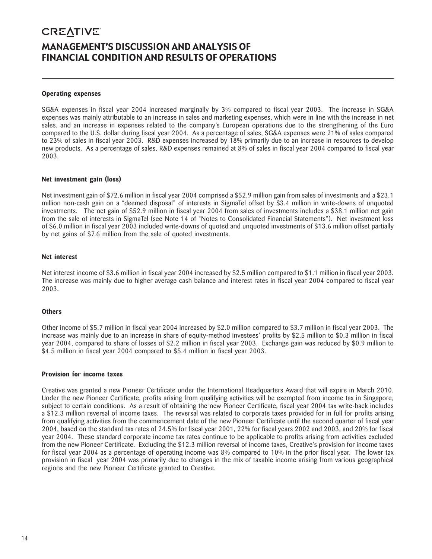### **CREATIVE** MANAGEMENT'S DISCUSSION AND ANALYSIS OF FINANCIAL CONDITION AND RESULTS OF OPERATIONS

#### **Operating expenses**

SG&A expenses in fiscal year 2004 increased marginally by 3% compared to fiscal year 2003. The increase in SG&A expenses was mainly attributable to an increase in sales and marketing expenses, which were in line with the increase in net sales, and an increase in expenses related to the company's European operations due to the strengthening of the Euro compared to the U.S. dollar during fiscal year 2004. As a percentage of sales, SG&A expenses were 21% of sales compared to 23% of sales in fiscal year 2003. R&D expenses increased by 18% primarily due to an increase in resources to develop new products. As a percentage of sales, R&D expenses remained at 8% of sales in fiscal year 2004 compared to fiscal year 2003.

#### **Net investment gain (loss)**

Net investment gain of \$72.6 million in fiscal year 2004 comprised a \$52.9 million gain from sales of investments and a \$23.1 million non-cash gain on a "deemed disposal" of interests in SigmaTel offset by \$3.4 million in write-downs of unquoted investments. The net gain of \$52.9 million in fiscal year 2004 from sales of investments includes a \$38.1 million net gain from the sale of interests in SigmaTel (see Note 14 of "Notes to Consolidated Financial Statements"). Net investment loss of \$6.0 million in fiscal year 2003 included write-downs of quoted and unquoted investments of \$13.6 million offset partially by net gains of \$7.6 million from the sale of quoted investments.

#### **Net interest**

Net interest income of \$3.6 million in fiscal year 2004 increased by \$2.5 million compared to \$1.1 million in fiscal year 2003. The increase was mainly due to higher average cash balance and interest rates in fiscal year 2004 compared to fiscal year 2003.

#### **Others**

Other income of \$5.7 million in fiscal year 2004 increased by \$2.0 million compared to \$3.7 million in fiscal year 2003. The increase was mainly due to an increase in share of equity-method investees' profits by \$2.5 million to \$0.3 million in fiscal year 2004, compared to share of losses of \$2.2 million in fiscal year 2003. Exchange gain was reduced by \$0.9 million to \$4.5 million in fiscal year 2004 compared to \$5.4 million in fiscal year 2003.

#### **Provision for income taxes**

Creative was granted a new Pioneer Certificate under the International Headquarters Award that will expire in March 2010. Under the new Pioneer Certificate, profits arising from qualifying activities will be exempted from income tax in Singapore, subject to certain conditions. As a result of obtaining the new Pioneer Certificate, fiscal year 2004 tax write-back includes a \$12.3 million reversal of income taxes. The reversal was related to corporate taxes provided for in full for profits arising from qualifying activities from the commencement date of the new Pioneer Certificate until the second quarter of fiscal year 2004, based on the standard tax rates of 24.5% for fiscal year 2001, 22% for fiscal years 2002 and 2003, and 20% for fiscal year 2004. These standard corporate income tax rates continue to be applicable to profits arising from activities excluded from the new Pioneer Certificate. Excluding the \$12.3 million reversal of income taxes, Creative's provision for income taxes for fiscal year 2004 as a percentage of operating income was 8% compared to 10% in the prior fiscal year. The lower tax provision in fiscal year 2004 was primarily due to changes in the mix of taxable income arising from various geographical regions and the new Pioneer Certificate granted to Creative.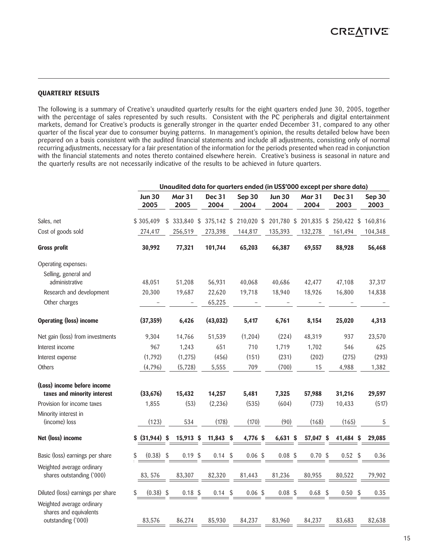#### **QUARTERLY RESULTS**

The following is a summary of Creative's unaudited quarterly results for the eight quarters ended June 30, 2005, together with the percentage of sales represented by such results. Consistent with the PC peripherals and digital entertainment markets, demand for Creative's products is generally stronger in the quarter ended December 31, compared to any other quarter of the fiscal year due to consumer buying patterns. In management's opinion, the results detailed below have been prepared on a basis consistent with the audited financial statements and include all adjustments, consisting only of normal recurring adjustments, necessary for a fair presentation of the information for the periods presented when read in conjunction with the financial statements and notes thereto contained elsewhere herein. Creative's business is seasonal in nature and the quarterly results are not necessarily indicative of the results to be achieved in future quarters.

|                                                                           |                       |                       |                |    |                       | Unaudited data for quarters ended (in US\$'000 except per share data) |                       |           |                |                |
|---------------------------------------------------------------------------|-----------------------|-----------------------|----------------|----|-----------------------|-----------------------------------------------------------------------|-----------------------|-----------|----------------|----------------|
|                                                                           | <b>Jun 30</b><br>2005 | <b>Mar 31</b><br>2005 | Dec 31<br>2004 |    | Sep 30<br>2004        | <b>Jun 30</b><br>2004                                                 | <b>Mar 31</b><br>2004 |           | Dec 31<br>2003 | Sep 30<br>2003 |
| Sales, net                                                                | \$305,409             | $$333,840$ \$         |                |    | 375,142 \$ 210,020 \$ | 201,780 \$                                                            | 201,835 \$            |           | 250,422 \$     | 160,816        |
| Cost of goods sold                                                        | 274,417               | 256,519               | 273,398        |    | 144,817               | 135,393                                                               | 132,278               |           | 161,494        | 104,348        |
| <b>Gross profit</b>                                                       | 30,992                | 77,321                | 101,744        |    | 65,203                | 66,387                                                                | 69,557                |           | 88,928         | 56,468         |
| Operating expenses:                                                       |                       |                       |                |    |                       |                                                                       |                       |           |                |                |
| Selling, general and<br>administrative                                    | 48,051                | 51,208                | 56,931         |    | 40,068                | 40,686                                                                | 42,477                |           | 47,108         | 37,317         |
| Research and development                                                  | 20,300                | 19,687                | 22,620         |    | 19,718                | 18,940                                                                | 18,926                |           | 16,800         | 14,838         |
| Other charges                                                             |                       |                       | 65,225         |    |                       |                                                                       |                       |           |                |                |
| <b>Operating (loss) income</b>                                            | (37, 359)             | 6,426                 | (43, 032)      |    | 5,417                 | 6,761                                                                 | 8,154                 |           | 25,020         | 4,313          |
| Net gain (loss) from investments                                          | 9,304                 | 14,766                | 51,539         |    | (1, 204)              | (224)                                                                 | 48,319                |           | 937            | 23,570         |
| Interest income                                                           | 967                   | 1,243                 | 651            |    | 710                   | 1,719                                                                 | 1,702                 |           | 546            | 625            |
| Interest expense                                                          | (1,792)               | (1, 275)              | (456)          |    | (151)                 | (231)                                                                 |                       | (202)     | (275)          | (293)          |
| Others                                                                    | (4,796)               | (5,728)               | 5,555          |    | 709                   | (700)                                                                 |                       | 15        | 4,988          | 1,382          |
| (Loss) income before income<br>taxes and minority interest                | (33, 676)             | 15,432                | 14,257         |    | 5,481                 | 7,325                                                                 | 57,988                |           | 31,216         | 29,597         |
| Provision for income taxes                                                | 1,855                 | (53)                  | (2, 236)       |    | (535)                 | (604)                                                                 |                       | (773)     | 10,433         | (517)          |
| Minority interest in<br>(income) loss                                     | (123)                 | 534                   | (178)          |    | (170)                 | (90)                                                                  |                       | (168)     | (165)          | 5              |
| Net (loss) income                                                         | \$ (31,944) \$        | 15,913 \$             | $11,843$ \$    |    | 4,776 \$              | $6,631$ \$                                                            | 57,047 \$             |           | 41,484 \$      | 29,085         |
| Basic (loss) earnings per share                                           | (0.38)<br>\$          | \$<br>$0.19$ \$       | 0.14           | \$ | 0.06~\$               | $0.08$ \$                                                             |                       | 0.70~\$   | $0.52$ \$      | 0.36           |
| Weighted average ordinary<br>shares outstanding ('000)                    | 83, 576               | 83,307                | 82,320         |    | 81,443                | 81,236                                                                | 80,955                |           | 80,522         | 79,902         |
| Diluted (loss) earnings per share                                         | $(0.38)$ \$<br>\$     | $0.18$ \$             | 0.14           | Ŝ. | 0.06~\$               | $0.08$ \$                                                             |                       | $0.68$ \$ | $0.50$ \$      | 0.35           |
| Weighted average ordinary<br>shares and equivalents<br>outstanding ('000) | 83,576                | 86,274                | 85,930         |    | 84,237                | 83,960                                                                | 84,237                |           | 83,683         | 82,638         |
|                                                                           |                       |                       |                |    |                       |                                                                       |                       |           |                |                |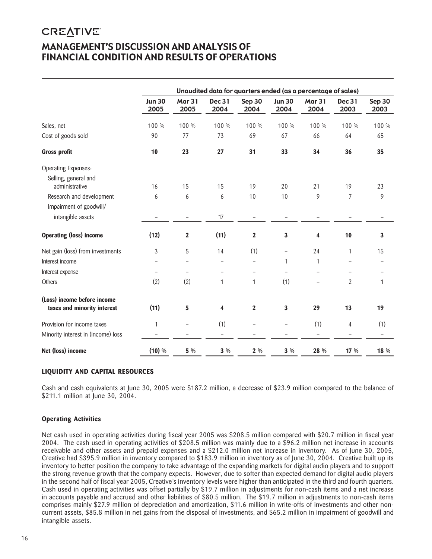### **CREATIVE** MANAGEMENT'S DISCUSSION AND ANALYSIS OF FINANCIAL CONDITION AND RESULTS OF OPERATIONS

|                                                            |                          |                          |                       |                          |                       | Unaudited data for quarters ended (as a percentage of sales) |                |                |
|------------------------------------------------------------|--------------------------|--------------------------|-----------------------|--------------------------|-----------------------|--------------------------------------------------------------|----------------|----------------|
|                                                            | <b>Jun 30</b><br>2005    | <b>Mar 31</b><br>2005    | <b>Dec 31</b><br>2004 | Sep 30<br>2004           | <b>Jun 30</b><br>2004 | <b>Mar 31</b><br>2004                                        | Dec 31<br>2003 | Sep 30<br>2003 |
| Sales, net                                                 | 100 %                    | 100 %                    | 100 %                 | 100 %                    | 100 %                 | 100 %                                                        | 100 %          | 100 %          |
| Cost of goods sold                                         | 90                       | 77                       | 73                    | 69                       | 67                    | 66                                                           | 64             | 65             |
| <b>Gross profit</b>                                        | 10                       | 23                       | 27                    | 31                       | 33                    | 34                                                           | 36             | 35             |
| Operating Expenses:                                        |                          |                          |                       |                          |                       |                                                              |                |                |
| Selling, general and                                       |                          |                          |                       |                          |                       |                                                              |                |                |
| administrative                                             | 16                       | 15                       | 15                    | 19                       | 20                    | 21                                                           | 19             | 23             |
| Research and development                                   | 6                        | 6                        | 6                     | 10                       | 10                    | 9                                                            | $\overline{7}$ | 9              |
| Impairment of goodwill/                                    |                          |                          |                       |                          |                       |                                                              |                |                |
| intangible assets                                          |                          |                          | 17                    |                          |                       |                                                              |                |                |
| <b>Operating (loss) income</b>                             | (12)                     | $\mathbf 2$              | (11)                  | 2                        | 3                     | 4                                                            | 10             | $\mathbf{3}$   |
| Net gain (loss) from investments                           | $\mathfrak{Z}$           | 5                        | 14                    | (1)                      |                       | 24                                                           | $\mathbf{1}$   | 15             |
| Interest income                                            |                          |                          |                       | $\overline{\phantom{0}}$ | 1                     | 1                                                            |                |                |
| Interest expense                                           | $\overline{\phantom{0}}$ | $\overline{\phantom{0}}$ |                       |                          |                       |                                                              |                |                |
| <b>Others</b>                                              | (2)                      | (2)                      | 1                     | 1                        | (1)                   | $\qquad \qquad -$                                            | $\overline{2}$ | 1              |
| (Loss) income before income<br>taxes and minority interest | (11)                     | 5                        | 4                     | $\overline{2}$           | 3                     | 29                                                           | 13             | 19             |
| Provision for income taxes                                 | $\mathbf{1}$             | $\overline{\phantom{0}}$ | (1)                   |                          |                       | (1)                                                          | 4              | (1)            |
| Minority interest in (income) loss                         |                          |                          | $\overline{a}$        |                          |                       |                                                              |                |                |
| Net (loss) income                                          | $(10)$ %                 | 5 %                      | $3\%$                 | $2\%$                    | $3\%$                 | 28 %                                                         | 17 %           | 18 %           |

#### **LIQUIDITY AND CAPITAL RESOURCES**

Cash and cash equivalents at June 30, 2005 were \$187.2 million, a decrease of \$23.9 million compared to the balance of \$211.1 million at June 30, 2004.

#### **Operating Activities**

Net cash used in operating activities during fiscal year 2005 was \$208.5 million compared with \$20.7 million in fiscal year 2004. The cash used in operating activities of \$208.5 million was mainly due to a \$96.2 million net increase in accounts receivable and other assets and prepaid expenses and a \$212.0 million net increase in inventory. As of June 30, 2005, Creative had \$395.9 million in inventory compared to \$183.9 million in inventory as of June 30, 2004. Creative built up its inventory to better position the company to take advantage of the expanding markets for digital audio players and to support the strong revenue growth that the company expects. However, due to softer than expected demand for digital audio players in the second half of fiscal year 2005, Creative's inventory levels were higher than anticipated in the third and fourth quarters. Cash used in operating activities was offset partially by \$19.7 million in adjustments for non-cash items and a net increase in accounts payable and accrued and other liabilities of \$80.5 million. The \$19.7 million in adjustments to non-cash items comprises mainly \$27.9 million of depreciation and amortization, \$11.6 million in write-offs of investments and other noncurrent assets, \$85.8 million in net gains from the disposal of investments, and \$65.2 million in impairment of goodwill and intangible assets.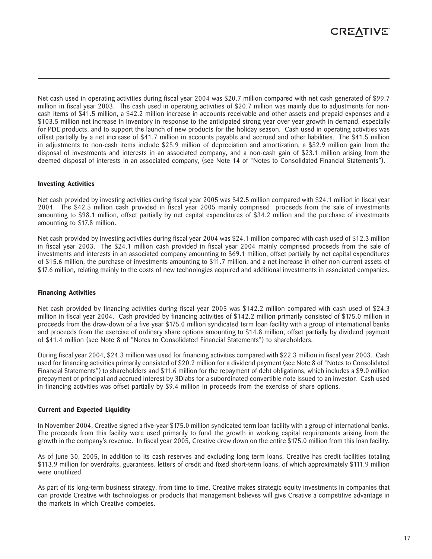Net cash used in operating activities during fiscal year 2004 was \$20.7 million compared with net cash generated of \$99.7 million in fiscal year 2003. The cash used in operating activities of \$20.7 million was mainly due to adjustments for noncash items of \$41.5 million, a \$42.2 million increase in accounts receivable and other assets and prepaid expenses and a \$103.5 million net increase in inventory in response to the anticipated strong year over year growth in demand, especially for PDE products, and to support the launch of new products for the holiday season. Cash used in operating activities was offset partially by a net increase of \$41.7 million in accounts payable and accrued and other liabilities. The \$41.5 million in adjustments to non-cash items include \$25.9 million of depreciation and amortization, a \$52.9 million gain from the disposal of investments and interests in an associated company, and a non-cash gain of \$23.1 million arising from the deemed disposal of interests in an associated company, (see Note 14 of "Notes to Consolidated Financial Statements").

#### **Investing Activities**

Net cash provided by investing activities during fiscal year 2005 was \$42.5 million compared with \$24.1 million in fiscal year 2004. The \$42.5 million cash provided in fiscal year 2005 mainly comprised proceeds from the sale of investments amounting to \$98.1 million, offset partially by net capital expenditures of \$34.2 million and the purchase of investments amounting to \$17.8 million.

Net cash provided by investing activities during fiscal year 2004 was \$24.1 million compared with cash used of \$12.3 million in fiscal year 2003. The \$24.1 million cash provided in fiscal year 2004 mainly comprised proceeds from the sale of investments and interests in an associated company amounting to \$69.1 million, offset partially by net capital expenditures of \$15.6 million, the purchase of investments amounting to \$11.7 million, and a net increase in other non current assets of \$17.6 million, relating mainly to the costs of new technologies acquired and additional investments in associated companies.

#### **Financing Activities**

Net cash provided by financing activities during fiscal year 2005 was \$142.2 million compared with cash used of \$24.3 million in fiscal year 2004. Cash provided by financing activities of \$142.2 million primarily consisted of \$175.0 million in proceeds from the draw-down of a five year \$175.0 million syndicated term loan facility with a group of international banks and proceeds from the exercise of ordinary share options amounting to \$14.8 million, offset partially by dividend payment of \$41.4 million (see Note 8 of "Notes to Consolidated Financial Statements") to shareholders.

During fiscal year 2004, \$24.3 million was used for financing activities compared with \$22.3 million in fiscal year 2003. Cash used for financing activities primarily consisted of \$20.2 million for a dividend payment (see Note 8 of "Notes to Consolidated Financial Statements") to shareholders and \$11.6 million for the repayment of debt obligations, which includes a \$9.0 million prepayment of principal and accrued interest by 3Dlabs for a subordinated convertible note issued to an investor. Cash used in financing activities was offset partially by \$9.4 million in proceeds from the exercise of share options.

#### **Current and Expected Liquidity**

In November 2004, Creative signed a five-year \$175.0 million syndicated term loan facility with a group of international banks. The proceeds from this facility were used primarily to fund the growth in working capital requirements arising from the growth in the company's revenue. In fiscal year 2005, Creative drew down on the entire \$175.0 million from this loan facility.

As of June 30, 2005, in addition to its cash reserves and excluding long term loans, Creative has credit facilities totaling \$113.9 million for overdrafts, guarantees, letters of credit and fixed short-term loans, of which approximately \$111.9 million were unutilized.

As part of its long-term business strategy, from time to time, Creative makes strategic equity investments in companies that can provide Creative with technologies or products that management believes will give Creative a competitive advantage in the markets in which Creative competes.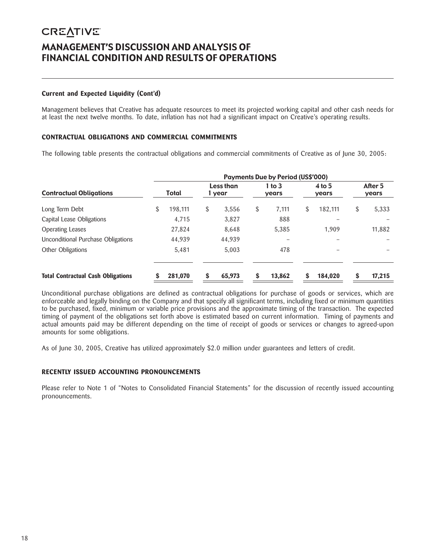### **CREATIVE** MANAGEMENT'S DISCUSSION AND ANALYSIS OF FINANCIAL CONDITION AND RESULTS OF OPERATIONS

#### **Current and Expected Liquidity (Cont'd)**

Management believes that Creative has adequate resources to meet its projected working capital and other cash needs for at least the next twelve months. To date, inflation has not had a significant impact on Creative's operating results.

#### **CONTRACTUAL OBLIGATIONS AND COMMERCIAL COMMITMENTS**

The following table presents the contractual obligations and commercial commitments of Creative as of June 30, 2005:

|                                           | <b>Payments Due by Period (US\$'000)</b> |         |    |                     |    |                   |    |                   |    |                  |  |
|-------------------------------------------|------------------------------------------|---------|----|---------------------|----|-------------------|----|-------------------|----|------------------|--|
| <b>Contractual Obligations</b>            |                                          | Total   |    | Less than<br>1 year |    | 1 to $3$<br>years |    | $4$ to 5<br>years |    | After 5<br>years |  |
| Long Term Debt                            | \$                                       | 198.111 | \$ | 3,556               | \$ | 7,111             | \$ | 182,111           | \$ | 5,333            |  |
| Capital Lease Obligations                 |                                          | 4.715   |    | 3.827               |    | 888               |    |                   |    |                  |  |
| <b>Operating Leases</b>                   |                                          | 27,824  |    | 8,648               |    | 5,385             |    | 1.909             |    | 11,882           |  |
| Unconditional Purchase Obligations        |                                          | 44,939  |    | 44,939              |    |                   |    |                   |    |                  |  |
| Other Obligations                         |                                          | 5,481   |    | 5.003               |    | 478               |    |                   |    |                  |  |
| <b>Total Contractual Cash Obligations</b> |                                          | 281.070 | S  | 65,973              | \$ | 13.862            | \$ | 184,020           |    | 17,215           |  |

Unconditional purchase obligations are defined as contractual obligations for purchase of goods or services, which are enforceable and legally binding on the Company and that specify all significant terms, including fixed or minimum quantities to be purchased, fixed, minimum or variable price provisions and the approximate timing of the transaction. The expected timing of payment of the obligations set forth above is estimated based on current information. Timing of payments and actual amounts paid may be different depending on the time of receipt of goods or services or changes to agreed-upon amounts for some obligations.

As of June 30, 2005, Creative has utilized approximately \$2.0 million under guarantees and letters of credit.

#### **RECENTLY ISSUED ACCOUNTING PRONOUNCEMENTS**

Please refer to Note 1 of "Notes to Consolidated Financial Statements" for the discussion of recently issued accounting pronouncements.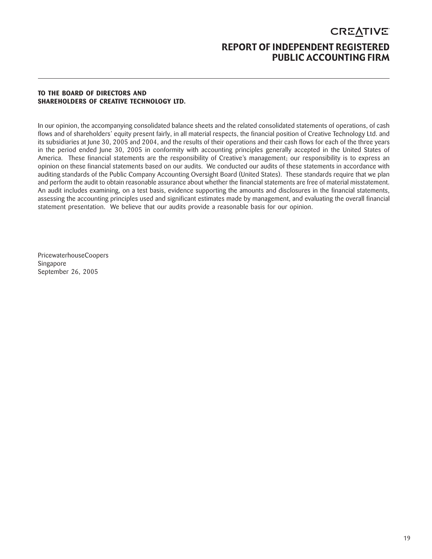### **CREATIVE** REPORT OF INDEPENDENT REGISTERED PUBLIC ACCOUNTING FIRM

#### **TO THE BOARD OF DIRECTORS AND SHAREHOLDERS OF CREATIVE TECHNOLOGY LTD.**

In our opinion, the accompanying consolidated balance sheets and the related consolidated statements of operations, of cash flows and of shareholders' equity present fairly, in all material respects, the financial position of Creative Technology Ltd. and its subsidiaries at June 30, 2005 and 2004, and the results of their operations and their cash flows for each of the three years in the period ended June 30, 2005 in conformity with accounting principles generally accepted in the United States of America. These financial statements are the responsibility of Creative's management; our responsibility is to express an opinion on these financial statements based on our audits. We conducted our audits of these statements in accordance with auditing standards of the Public Company Accounting Oversight Board (United States). These standards require that we plan and perform the audit to obtain reasonable assurance about whether the financial statements are free of material misstatement. An audit includes examining, on a test basis, evidence supporting the amounts and disclosures in the financial statements, assessing the accounting principles used and significant estimates made by management, and evaluating the overall financial statement presentation. We believe that our audits provide a reasonable basis for our opinion.

PricewaterhouseCoopers Singapore September 26, 2005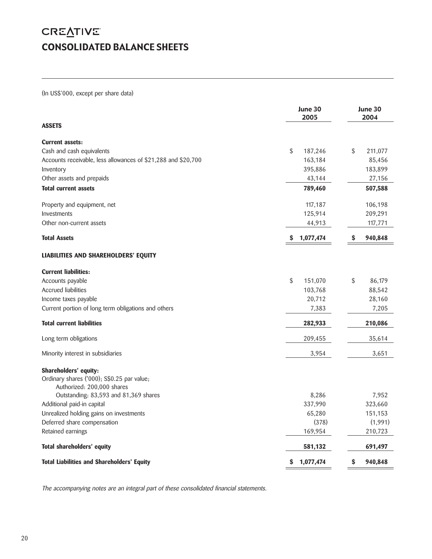# **CREATIVE** CONSOLIDATED BALANCE SHEETS

(In US\$'000, except per share data)

|                                                               | June 30<br>2005 | June 30<br>2004 |
|---------------------------------------------------------------|-----------------|-----------------|
| <b>ASSETS</b>                                                 |                 |                 |
| <b>Current assets:</b>                                        |                 |                 |
| Cash and cash equivalents                                     | \$<br>187,246   | \$<br>211,077   |
| Accounts receivable, less allowances of \$21,288 and \$20,700 | 163,184         | 85,456          |
| Inventory                                                     | 395,886         | 183,899         |
| Other assets and prepaids                                     | 43,144          | 27,156          |
| <b>Total current assets</b>                                   | 789,460         | 507,588         |
| Property and equipment, net                                   | 117,187         | 106,198         |
| Investments                                                   | 125,914         | 209,291         |
| Other non-current assets                                      | 44,913          | 117,771         |
| <b>Total Assets</b>                                           | 1,077,474<br>S  | S<br>940,848    |
| LIABILITIES AND SHAREHOLDERS' EQUITY                          |                 |                 |
| <b>Current liabilities:</b>                                   |                 |                 |
| Accounts payable                                              | \$<br>151,070   | \$<br>86,179    |
| <b>Accrued liabilities</b>                                    | 103,768         | 88,542          |
| Income taxes payable                                          | 20,712          | 28,160          |
| Current portion of long term obligations and others           | 7,383           | 7,205           |
| <b>Total current liabilities</b>                              | 282,933         | 210,086         |
| Long term obligations                                         | 209,455         | 35,614          |
| Minority interest in subsidiaries                             | 3,954           | 3,651           |
| Shareholders' equity:                                         |                 |                 |
| Ordinary shares ('000); S\$0.25 par value;                    |                 |                 |
| Authorized: 200,000 shares                                    |                 |                 |
| Outstanding: 83,593 and 81,369 shares                         | 8,286           | 7,952           |
| Additional paid-in capital                                    | 337,990         | 323,660         |
| Unrealized holding gains on investments                       | 65,280          | 151,153         |
| Deferred share compensation                                   | (378)           | (1,991)         |
| Retained earnings                                             | 169,954         | 210,723         |
| Total shareholders' equity                                    | 581,132         | 691,497         |
| <b>Total Liabilities and Shareholders' Equity</b>             | 1,077,474<br>\$ | \$<br>940,848   |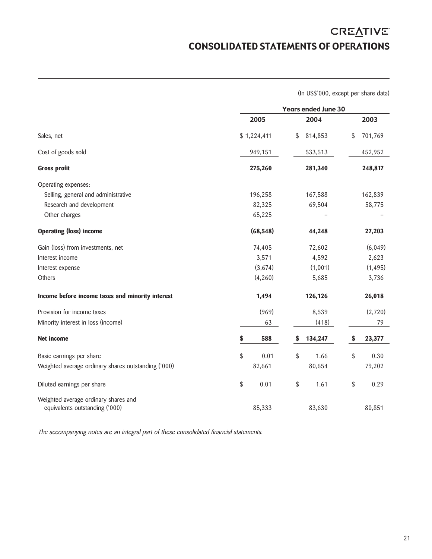# **CREATIVE** CONSOLIDATED STATEMENTS OF OPERATIONS

(In US\$'000, except per share data)

|                                                                        |             | <b>Years ended June 30</b> |         |    |          |  |
|------------------------------------------------------------------------|-------------|----------------------------|---------|----|----------|--|
|                                                                        | 2005        |                            | 2004    |    | 2003     |  |
| Sales, net                                                             | \$1,224,411 | \$                         | 814,853 | \$ | 701,769  |  |
| Cost of goods sold                                                     | 949,151     |                            | 533,513 |    | 452,952  |  |
| <b>Gross profit</b>                                                    | 275,260     |                            | 281,340 |    | 248,817  |  |
| Operating expenses:                                                    |             |                            |         |    |          |  |
| Selling, general and administrative                                    | 196,258     |                            | 167,588 |    | 162,839  |  |
| Research and development                                               | 82,325      |                            | 69,504  |    | 58,775   |  |
| Other charges                                                          | 65,225      |                            |         |    |          |  |
| <b>Operating (loss) income</b>                                         | (68, 548)   |                            | 44,248  |    | 27,203   |  |
| Gain (loss) from investments, net                                      | 74,405      |                            | 72,602  |    | (6,049)  |  |
| Interest income                                                        | 3,571       |                            | 4,592   |    | 2,623    |  |
| Interest expense                                                       | (3,674)     |                            | (1,001) |    | (1, 495) |  |
| Others                                                                 | (4, 260)    |                            | 5,685   |    | 3,736    |  |
| Income before income taxes and minority interest                       | 1,494       |                            | 126,126 |    | 26,018   |  |
| Provision for income taxes                                             | (969)       |                            | 8,539   |    | (2,720)  |  |
| Minority interest in loss (income)                                     | 63          |                            | (418)   |    | 79       |  |
| <b>Net income</b>                                                      | 588<br>\$   | \$                         | 134,247 | \$ | 23,377   |  |
| Basic earnings per share                                               | \$<br>0.01  | \$                         | 1.66    | \$ | 0.30     |  |
| Weighted average ordinary shares outstanding ('000)                    | 82,661      |                            | 80,654  |    | 79,202   |  |
| Diluted earnings per share                                             | \$<br>0.01  | \$                         | 1.61    | \$ | 0.29     |  |
| Weighted average ordinary shares and<br>equivalents outstanding ('000) | 85,333      |                            | 83,630  |    | 80,851   |  |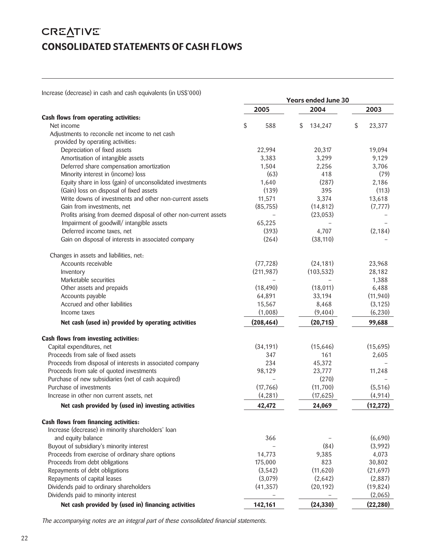## **CREATIVE** CONSOLIDATED STATEMENTS OF CASH FLOWS

Increase (decrease) in cash and cash equivalents (in US\$'000)

| <u>INCREASE (OCCIDOSE) IN COSH ONO COSH CUONOICHIS (IN OSS VOV)</u> | <b>Years ended June 30</b> |               |              |  |  |  |  |
|---------------------------------------------------------------------|----------------------------|---------------|--------------|--|--|--|--|
|                                                                     | 2005                       | 2004          | 2003         |  |  |  |  |
| Cash flows from operating activities:                               |                            |               |              |  |  |  |  |
| Net income                                                          | \$<br>588                  | 134,247<br>\$ | \$<br>23,377 |  |  |  |  |
| Adjustments to reconcile net income to net cash                     |                            |               |              |  |  |  |  |
| provided by operating activities:<br>Depreciation of fixed assets   | 22,994                     | 20,317        | 19,094       |  |  |  |  |
| Amortisation of intangible assets                                   | 3,383                      | 3,299         | 9,129        |  |  |  |  |
| Deferred share compensation amortization                            | 1,504                      | 2,256         | 3,706        |  |  |  |  |
| Minority interest in (income) loss                                  | (63)                       | 418           | (79)         |  |  |  |  |
| Equity share in loss (gain) of unconsolidated investments           | 1,640                      | (287)         | 2,186        |  |  |  |  |
| (Gain) loss on disposal of fixed assets                             | (139)                      | 395           | (113)        |  |  |  |  |
| Write downs of investments and other non-current assets             | 11,571                     | 3,374         | 13,618       |  |  |  |  |
| Gain from investments, net                                          | (85, 755)                  | (14, 812)     | (7, 777)     |  |  |  |  |
| Profits arising from deemed disposal of other non-current assets    | $\qquad \qquad -$          | (23, 053)     |              |  |  |  |  |
| Impairment of goodwill/ intangible assets                           | 65,225                     |               |              |  |  |  |  |
| Deferred income taxes, net                                          | (393)                      | 4,707         | (2, 184)     |  |  |  |  |
| Gain on disposal of interests in associated company                 | (264)                      | (38, 110)     |              |  |  |  |  |
|                                                                     |                            |               |              |  |  |  |  |
| Changes in assets and liabilities, net:                             |                            |               |              |  |  |  |  |
| Accounts receivable                                                 | (77, 728)                  | (24, 181)     | 23,968       |  |  |  |  |
| Inventory                                                           | (211, 987)                 | (103, 532)    | 28,182       |  |  |  |  |
| Marketable securities                                               |                            |               | 1,388        |  |  |  |  |
| Other assets and prepaids                                           | (18, 490)                  | (18, 011)     | 6,488        |  |  |  |  |
| Accounts payable                                                    | 64,891                     | 33,194        | (11, 940)    |  |  |  |  |
| Accrued and other liabilities                                       | 15,567                     | 8,468         | (3, 125)     |  |  |  |  |
| Income taxes                                                        | (1,008)                    | (9,404)       | (6, 230)     |  |  |  |  |
| Net cash (used in) provided by operating activities                 | (208, 464)                 | (20, 715)     | 99,688       |  |  |  |  |
| Cash flows from investing activities:                               |                            |               |              |  |  |  |  |
| Capital expenditures, net                                           | (34, 191)                  | (15, 646)     | (15,695)     |  |  |  |  |
| Proceeds from sale of fixed assets                                  | 347                        | 161           | 2,605        |  |  |  |  |
| Proceeds from disposal of interests in associated company           | 234                        | 45,372        |              |  |  |  |  |
| Proceeds from sale of quoted investments                            | 98,129                     | 23,777        | 11,248       |  |  |  |  |
| Purchase of new subsidiaries (net of cash acquired)                 |                            | (270)         |              |  |  |  |  |
| Purchase of investments                                             | (17, 766)                  | (11,700)      | (5,516)      |  |  |  |  |
| Increase in other non current assets, net                           | (4, 281)                   | (17, 625)     | (4, 914)     |  |  |  |  |
| Net cash provided by (used in) investing activities                 | 42,472                     | 24,069        | (12, 272)    |  |  |  |  |
| Cash flows from financing activities:                               |                            |               |              |  |  |  |  |
| Increase (decrease) in minority shareholders' loan                  |                            |               |              |  |  |  |  |
| and equity balance                                                  | 366                        |               | (6,690)      |  |  |  |  |
| Buyout of subsidiary's minority interest                            |                            | (84)          | (3,992)      |  |  |  |  |
| Proceeds from exercise of ordinary share options                    | 14,773                     | 9,385         | 4,073        |  |  |  |  |
| Proceeds from debt obligations                                      | 175,000                    | 823           | 30,802       |  |  |  |  |
| Repayments of debt obligations                                      | (3,542)                    | (11,620)      | (21, 697)    |  |  |  |  |
| Repayments of capital leases                                        | (3,079)                    | (2,642)       | (2,887)      |  |  |  |  |
| Dividends paid to ordinary shareholders                             | (41, 357)                  | (20, 192)     | (19, 824)    |  |  |  |  |
| Dividends paid to minority interest                                 |                            |               | (2,065)      |  |  |  |  |
| Net cash provided by (used in) financing activities                 | 142,161                    | (24, 330)     | (22, 280)    |  |  |  |  |
|                                                                     |                            |               |              |  |  |  |  |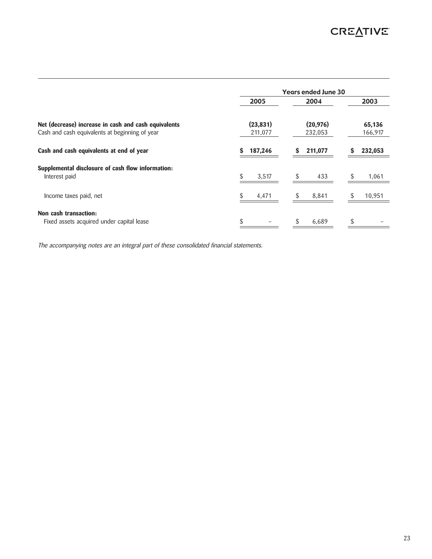|                                                                    | <b>Years ended June 30</b> |           |    |           |    |         |  |
|--------------------------------------------------------------------|----------------------------|-----------|----|-----------|----|---------|--|
|                                                                    |                            | 2005      |    | 2004      |    | 2003    |  |
| Net (decrease) increase in cash and cash equivalents               |                            | (23, 831) |    | (20, 976) |    | 65,136  |  |
| Cash and cash equivalents at beginning of year                     |                            | 211,077   |    | 232,053   |    | 166,917 |  |
| Cash and cash equivalents at end of year                           | S                          | 187,246   | S  | 211,077   | S  | 232,053 |  |
| Supplemental disclosure of cash flow information:<br>Interest paid |                            | 3,517     | \$ | 433       | S  | 1,061   |  |
| Income taxes paid, net                                             | S.                         | 4,471     | S  | 8,841     | S  | 10,951  |  |
| Non cash transaction:                                              |                            |           |    |           |    |         |  |
| Fixed assets acquired under capital lease                          | \$                         |           | S  | 6,689     | \$ |         |  |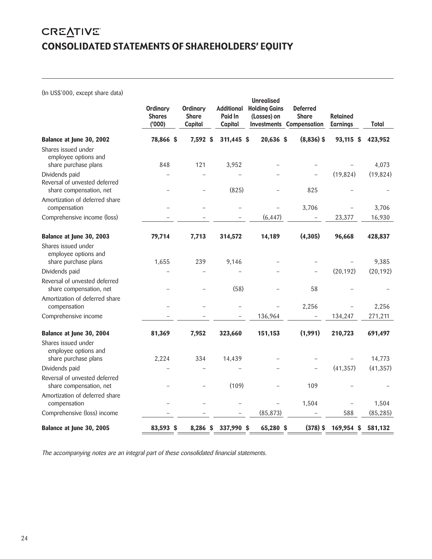## **CREATIVE** CONSOLIDATED STATEMENTS OF SHAREHOLDERS' EQUITY

(In US\$'000, except share data)

|                                                                            | <b>Ordinary</b><br><b>Shares</b><br>(000) | <b>Ordinary</b><br><b>Share</b><br>Capital | <b>Additional</b><br>Paid In<br>Capital | <b>Unrealised</b><br><b>Holding Gains</b><br>(Losses) on<br><b>Investments Compensation</b> | <b>Deferred</b><br><b>Share</b> | <b>Retained</b><br><b>Earnings</b> | Total     |
|----------------------------------------------------------------------------|-------------------------------------------|--------------------------------------------|-----------------------------------------|---------------------------------------------------------------------------------------------|---------------------------------|------------------------------------|-----------|
| Balance at June 30, 2002                                                   | 78,866 \$                                 | 7,592 \$                                   | 311,445 \$                              | 20,636 \$                                                                                   | $(8,836)$ \$                    | 93,115 \$                          | 423,952   |
| Shares issued under<br>employee options and<br>share purchase plans        | 848                                       | 121                                        | 3,952                                   |                                                                                             |                                 |                                    | 4,073     |
| Dividends paid<br>Reversal of unvested deferred<br>share compensation, net |                                           |                                            | (825)                                   |                                                                                             | 825                             | (19, 824)                          | (19, 824) |
| Amortization of deferred share<br>compensation                             |                                           |                                            |                                         |                                                                                             | 3,706                           |                                    | 3,706     |
| Comprehensive income (loss)                                                |                                           |                                            |                                         | (6, 447)                                                                                    |                                 | 23,377                             | 16,930    |
| Balance at June 30, 2003                                                   | 79,714                                    | 7,713                                      | 314,572                                 | 14,189                                                                                      | (4,305)                         | 96,668                             | 428,837   |
| Shares issued under<br>employee options and<br>share purchase plans        | 1,655                                     | 239                                        | 9,146                                   |                                                                                             |                                 |                                    | 9,385     |
| Dividends paid                                                             |                                           |                                            |                                         |                                                                                             |                                 | (20, 192)                          | (20, 192) |
| Reversal of unvested deferred<br>share compensation, net                   |                                           |                                            | (58)                                    |                                                                                             | 58                              |                                    |           |
| Amortization of deferred share<br>compensation                             |                                           |                                            |                                         |                                                                                             | 2,256                           |                                    | 2,256     |
| Comprehensive income                                                       |                                           |                                            |                                         | 136,964                                                                                     | $\qquad \qquad -$               | 134,247                            | 271,211   |
| Balance at June 30, 2004                                                   | 81,369                                    | 7,952                                      | 323,660                                 | 151,153                                                                                     | (1,991)                         | 210,723                            | 691,497   |
| Shares issued under<br>employee options and<br>share purchase plans        | 2,224                                     | 334                                        | 14,439                                  |                                                                                             |                                 |                                    | 14,773    |
| Dividends paid                                                             |                                           |                                            |                                         |                                                                                             | $\overline{\phantom{0}}$        | (41, 357)                          | (41, 357) |
| Reversal of unvested deferred<br>share compensation, net                   |                                           |                                            | (109)                                   |                                                                                             | 109                             |                                    |           |
| Amortization of deferred share<br>compensation                             |                                           |                                            |                                         |                                                                                             | 1,504                           |                                    | 1,504     |
| Comprehensive (loss) income                                                |                                           |                                            |                                         | (85, 873)                                                                                   |                                 | 588                                | (85, 285) |
| Balance at June 30, 2005                                                   | 83,593 \$                                 | 8,286 \$                                   | 337,990 \$                              | 65,280 \$                                                                                   | $(378)$ \$                      | 169,954 \$                         | 581,132   |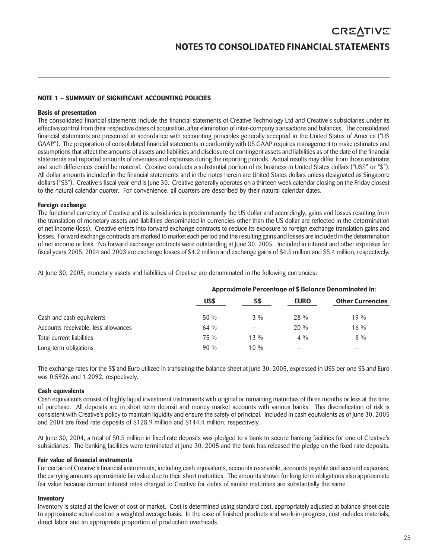#### **NOTE 1 – SUMMARY OF SIGNIFICANT ACCOUNTING POLICIES**

### **Basis of presentation**

The consolidated financial statements include the financial statements of Creative Technology Ltd and Creative's subsidiaries under its effective control from their respective dates of acquisition, after elimination of inter-company transactions and balances. The consolidated financial statements are presented in accordance with accounting principles generally accepted in the United States of America ("US GAAP"). The preparation of consolidated financial statements in conformity with US GAAP requires management to make estimates and assumptions that affect the amounts of assets and liabilities and disclosure of contingent assets and liabilities as of the date of the financial statements and reported amounts of revenues and expenses during the reporting periods. Actual results may differ from those estimates and such differences could be material. Creative conducts a substantial portion of its business in United States dollars ("US\$" or "\$"). All dollar amounts included in the financial statements and in the notes herein are United States dollars unless designated as Singapore dollars ("S\$"). Creative's fiscal year-end is June 30. Creative generally operates on a thirteen week calendar closing on the Friday closest to the natural calendar quarter. For convenience, all quarters are described by their natural calendar dates.

#### **Foreign exchange**

The functional currency of Creative and its subsidiaries is predominantly the US dollar and accordingly, gains and losses resulting from the translation of monetary assets and liabilities denominated in currencies other than the US dollar are reflected in the determination of net income (loss). Creative enters into forward exchange contracts to reduce its exposure to foreign exchange translation gains and losses. Forward exchange contracts are marked to market each period and the resulting gains and losses are included in the determination of net income or loss. No forward exchange contracts were outstanding at June 30, 2005. Included in interest and other expenses for fiscal years 2005, 2004 and 2003 are exchange losses of \$4.2 million and exchange gains of \$4.5 million and \$5.4 million, respectively.

At June 30, 2005, monetary assets and liabilities of Creative are denominated in the following currencies:

|                                      | Approximate Percentage of \$ Balance Denominated in: |        |             |                         |
|--------------------------------------|------------------------------------------------------|--------|-------------|-------------------------|
|                                      | US\$                                                 | S\$    | <b>EURO</b> | <b>Other Currencies</b> |
| Cash and cash equivalents            | $50\%$                                               | $3\%$  | 28 %        | $19\%$                  |
| Accounts receivable, less allowances | $64\%$                                               |        | $20\%$      | $16\%$                  |
| Total current liabilities            | 75 %                                                 | $13\%$ | $4\%$       | $8\%$                   |
| Long-term obligations                | $90\%$                                               | $10\%$ | -           |                         |

The exchange rates for the S\$ and Euro utilized in translating the balance sheet at June 30, 2005, expressed in US\$ per one S\$ and Euro was 0.5926 and 1.2092, respectively.

#### **Cash equivalents**

Cash equivalents consist of highly liquid investment instruments with original or remaining maturities of three months or less at the time of purchase. All deposits are in short term deposit and money market accounts with various banks. This diversification of risk is consistent with Creative's policy to maintain liquidity and ensure the safety of principal. Included in cash equivalents as of June 30, 2005 and 2004 are fixed rate deposits of \$128.9 million and \$144.4 million, respectively.

At June 30, 2004, a total of \$0.5 million in fixed rate deposits was pledged to a bank to secure banking facilities for one of Creative's subsidiaries. The banking facilities were terminated at June 30, 2005 and the bank has released the pledge on the fixed rate deposits.

#### **Fair value of financial instruments**

For certain of Creative's financial instruments, including cash equivalents, accounts receivable, accounts payable and accrued expenses, the carrying amounts approximate fair value due to their short maturities. The amounts shown for long term obligations also approximate fair value because current interest rates charged to Creative for debts of similar maturities are substantially the same.

#### **Inventory**

Inventory is stated at the lower of cost or market. Cost is determined using standard cost, appropriately adjusted at balance sheet date to approximate actual cost on a weighted average basis. In the case of finished products and work-in-progress, cost includes materials, direct labor and an appropriate proportion of production overheads.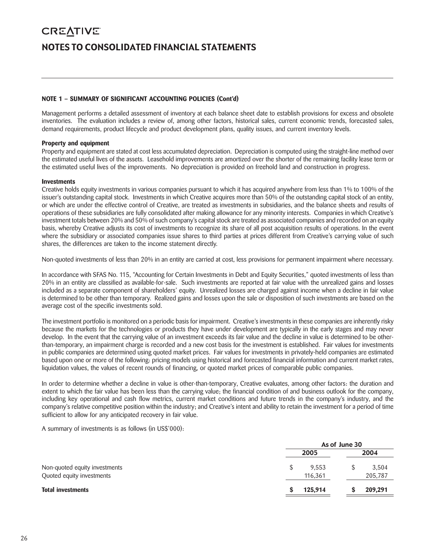# **CREATIVE** NOTES TO CONSOLIDATED FINANCIAL STATEMENTS

#### **NOTE 1 – SUMMARY OF SIGNIFICANT ACCOUNTING POLICIES (Cont'd)**

Management performs a detailed assessment of inventory at each balance sheet date to establish provisions for excess and obsolete inventories. The evaluation includes a review of, among other factors, historical sales, current economic trends, forecasted sales, demand requirements, product lifecycle and product development plans, quality issues, and current inventory levels.

#### **Property and equipment**

Property and equipment are stated at cost less accumulated depreciation. Depreciation is computed using the straight-line method over the estimated useful lives of the assets. Leasehold improvements are amortized over the shorter of the remaining facility lease term or the estimated useful lives of the improvements. No depreciation is provided on freehold land and construction in progress.

#### **Investments**

Creative holds equity investments in various companies pursuant to which it has acquired anywhere from less than 1% to 100% of the issuer's outstanding capital stock. Investments in which Creative acquires more than 50% of the outstanding capital stock of an entity, or which are under the effective control of Creative, are treated as investments in subsidiaries, and the balance sheets and results of operations of these subsidiaries are fully consolidated after making allowance for any minority interests. Companies in which Creative's investment totals between 20% and 50% of such company's capital stock are treated as associated companies and recorded on an equity basis, whereby Creative adjusts its cost of investments to recognize its share of all post acquisition results of operations. In the event where the subsidiary or associated companies issue shares to third parties at prices different from Creative's carrying value of such shares, the differences are taken to the income statement directly.

Non-quoted investments of less than 20% in an entity are carried at cost, less provisions for permanent impairment where necessary.

In accordance with SFAS No. 115, "Accounting for Certain Investments in Debt and Equity Securities," quoted investments of less than 20% in an entity are classified as available-for-sale. Such investments are reported at fair value with the unrealized gains and losses included as a separate component of shareholders' equity. Unrealized losses are charged against income when a decline in fair value is determined to be other than temporary. Realized gains and losses upon the sale or disposition of such investments are based on the average cost of the specific investments sold.

The investment portfolio is monitored on a periodic basis for impairment. Creative's investments in these companies are inherently risky because the markets for the technologies or products they have under development are typically in the early stages and may never develop. In the event that the carrying value of an investment exceeds its fair value and the decline in value is determined to be otherthan-temporary, an impairment charge is recorded and a new cost basis for the investment is established. Fair values for investments in public companies are determined using quoted market prices. Fair values for investments in privately-held companies are estimated based upon one or more of the following: pricing models using historical and forecasted financial information and current market rates, liquidation values, the values of recent rounds of financing, or quoted market prices of comparable public companies.

In order to determine whether a decline in value is other-than-temporary, Creative evaluates, among other factors: the duration and extent to which the fair value has been less than the carrying value; the financial condition of and business outlook for the company, including key operational and cash flow metrics, current market conditions and future trends in the company's industry, and the company's relative competitive position within the industry; and Creative's intent and ability to retain the investment for a period of time sufficient to allow for any anticipated recovery in fair value.

A summary of investments is as follows (in US\$'000):

|                                                            | As of June 30 |                  |      |                  |
|------------------------------------------------------------|---------------|------------------|------|------------------|
|                                                            |               | 2005             | 2004 |                  |
| Non-quoted equity investments<br>Quoted equity investments |               | 9,553<br>116,361 |      | 3,504<br>205,787 |
| <b>Total investments</b>                                   |               | 125.914          |      | 209,291          |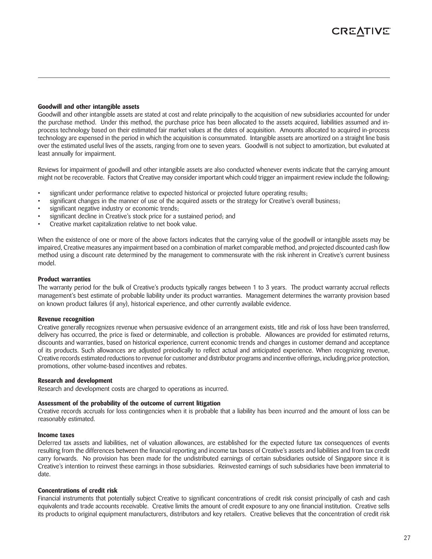#### **Goodwill and other intangible assets**

Goodwill and other intangible assets are stated at cost and relate principally to the acquisition of new subsidiaries accounted for under the purchase method. Under this method, the purchase price has been allocated to the assets acquired, liabilities assumed and inprocess technology based on their estimated fair market values at the dates of acquisition. Amounts allocated to acquired in-process technology are expensed in the period in which the acquisition is consummated. Intangible assets are amortized on a straight line basis over the estimated useful lives of the assets, ranging from one to seven years. Goodwill is not subject to amortization, but evaluated at least annually for impairment.

Reviews for impairment of goodwill and other intangible assets are also conducted whenever events indicate that the carrying amount might not be recoverable. Factors that Creative may consider important which could trigger an impairment review include the following:

- significant under performance relative to expected historical or projected future operating results;
- significant changes in the manner of use of the acquired assets or the strategy for Creative's overall business;
- significant negative industry or economic trends;
- significant decline in Creative's stock price for a sustained period; and
- Creative market capitalization relative to net book value.

When the existence of one or more of the above factors indicates that the carrying value of the goodwill or intangible assets may be impaired, Creative measures any impairment based on a combination of market comparable method, and projected discounted cash flow method using a discount rate determined by the management to commensurate with the risk inherent in Creative's current business model.

#### **Product warranties**

The warranty period for the bulk of Creative's products typically ranges between 1 to 3 years. The product warranty accrual reflects management's best estimate of probable liability under its product warranties. Management determines the warranty provision based on known product failures (if any), historical experience, and other currently available evidence.

#### **Revenue recognition**

Creative generally recognizes revenue when persuasive evidence of an arrangement exists, title and risk of loss have been transferred, delivery has occurred, the price is fixed or determinable, and collection is probable. Allowances are provided for estimated returns, discounts and warranties, based on historical experience, current economic trends and changes in customer demand and acceptance of its products. Such allowances are adjusted preiodically to reflect actual and anticipated experience. When recognizing revenue, Creative records estimated reductions to revenue for customer and distributor programs and incentive offerings, including price protection, promotions, other volume-based incentives and rebates.

#### **Research and development**

Research and development costs are charged to operations as incurred.

### **Assessment of the probability of the outcome of current litigation**

Creative records accruals for loss contingencies when it is probable that a liability has been incurred and the amount of loss can be reasonably estimated.

### **Income taxes**

Deferred tax assets and liabilities, net of valuation allowances, are established for the expected future tax consequences of events resulting from the differences between the financial reporting and income tax bases of Creative's assets and liabilities and from tax credit carry forwards. No provision has been made for the undistributed earnings of certain subsidiaries outside of Singapore since it is Creative's intention to reinvest these earnings in those subsidiaries. Reinvested earnings of such subsidiaries have been immaterial to date.

#### **Concentrations of credit risk**

Financial instruments that potentially subject Creative to significant concentrations of credit risk consist principally of cash and cash equivalents and trade accounts receivable. Creative limits the amount of credit exposure to any one financial institution. Creative sells its products to original equipment manufacturers, distributors and key retailers. Creative believes that the concentration of credit risk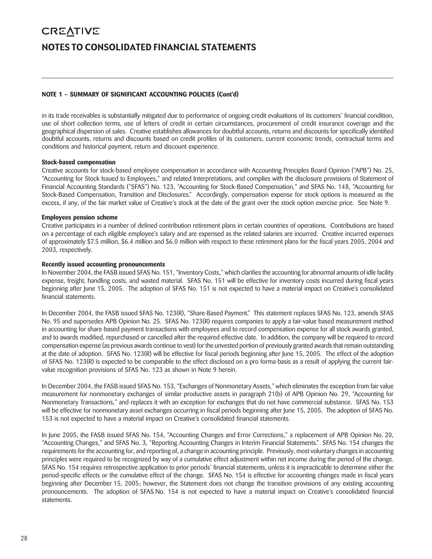# **CREATIVE** NOTES TO CONSOLIDATED FINANCIAL STATEMENTS

#### **NOTE 1 – SUMMARY OF SIGNIFICANT ACCOUNTING POLICIES (Cont'd)**

in its trade receivables is substantially mitigated due to performance of ongoing credit evaluations of its customers' financial condition, use of short collection terms, use of letters of credit in certain circumstances, procurement of credit insurance coverage and the geographical dispersion of sales. Creative establishes allowances for doubtful accounts, returns and discounts for specifically identified doubtful accounts, returns and discounts based on credit profiles of its customers, current economic trends, contractual terms and conditions and historical payment, return and discount experience.

#### **Stock-based compensation**

Creative accounts for stock-based employee compensation in accordance with Accounting Principles Board Opinion ("APB") No. 25, "Accounting for Stock Issued to Employees," and related Interpretations, and complies with the disclosure provisions of Statement of Financial Accounting Standards ("SFAS") No. 123, "Accounting for Stock-Based Compensation," and SFAS No. 148, "Accounting for Stock-Based Compensation, Transition and Disclosures." Accordingly, compensation expense for stock options is measured as the excess, if any, of the fair market value of Creative's stock at the date of the grant over the stock option exercise price. See Note 9.

#### **Employees pension scheme**

Creative participates in a number of defined contribution retirement plans in certain countries of operations. Contributions are based on a percentage of each eligible employee's salary and are expensed as the related salaries are incurred. Creative incurred expenses of approximately \$7.5 million, \$6.4 million and \$6.0 million with respect to these retirement plans for the fiscal years 2005, 2004 and 2003, respectively.

#### **Recently issued accounting pronouncements**

In November 2004, the FASB issued SFAS No. 151, "Inventory Costs," which clarifies the accounting for abnormal amounts of idle facility expense, freight, handling costs, and wasted material. SFAS No. 151 will be effective for inventory costs incurred during fiscal years beginning after June 15, 2005. The adoption of SFAS No. 151 is not expected to have a material impact on Creative's consolidated financial statements.

In December 2004, the FASB issued SFAS No. 123(R), "Share-Based Payment." This statement replaces SFAS No. 123, amends SFAS No. 95 and supersedes APB Opinion No. 25. SFAS No. 123(R) requires companies to apply a fair-value based measurement method in accounting for share-based payment transactions with employees and to record compensation expense for all stock awards granted, and to awards modified, repurchased or cancelled after the required effective date. In addition, the company will be required to record compensation expense (as previous awards continue to vest) for the unvested portion of previously granted awards that remain outstanding at the date of adoption. SFAS No. 123(R) will be effective for fiscal periods beginning after June 15, 2005. The effect of the adoption of SFAS No. 123(R) is expected to be comparable to the effect disclosed on a pro forma basis as a result of applying the current fairvalue recognition provisions of SFAS No. 123 as shown in Note 9 herein.

In December 2004, the FASB issued SFAS No. 153, "Exchanges of Nonmonetary Assets," which eliminates the exception from fair value measurement for nonmonetary exchanges of similar productive assets in paragraph 21(b) of APB Opinion No. 29, "Accounting for Nonmonetary Transactions," and replaces it with an exception for exchanges that do not have commercial substance. SFAS No. 153 will be effective for nonmonetary asset exchanges occurring in fiscal periods beginning after June 15, 2005. The adoption of SFAS No. 153 is not expected to have a material impact on Creative's consolidated financial statements.

In June 2005, the FASB issued SFAS No. 154, "Accounting Changes and Error Corrections," a replacement of APB Opinion No. 20, "Accounting Changes," and SFAS No. 3, "Reporting Accounting Changes in Interim Financial Statements." SFAS No. 154 changes the requirements for the accounting for, and reporting of, a change in accounting principle. Previously, most voluntary changes in accounting principles were required to be recognized by way of a cumulative effect adjustment within net income during the period of the change. SFAS No. 154 requires retrospective application to prior periods' financial statements, unless it is impracticable to determine either the period-specific effects or the cumulative effect of the change. SFAS No. 154 is effective for accounting changes made in fiscal years beginning after December 15, 2005; however, the Statement does not change the transition provisions of any existing accounting pronouncements. The adoption of SFAS No. 154 is not expected to have a material impact on Creative's consolidated financial statements.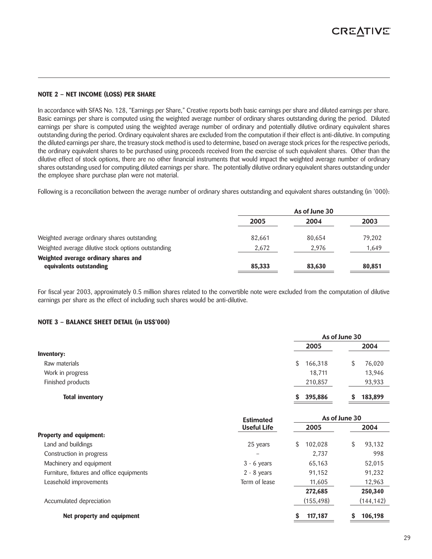#### **NOTE 2 – NET INCOME (LOSS) PER SHARE**

In accordance with SFAS No. 128, "Earnings per Share," Creative reports both basic earnings per share and diluted earnings per share. Basic earnings per share is computed using the weighted average number of ordinary shares outstanding during the period. Diluted earnings per share is computed using the weighted average number of ordinary and potentially dilutive ordinary equivalent shares outstanding during the period. Ordinary equivalent shares are excluded from the computation if their effect is anti-dilutive. In computing the diluted earnings per share, the treasury stock method is used to determine, based on average stock prices for the respective periods, the ordinary equivalent shares to be purchased using proceeds received from the exercise of such equivalent shares. Other than the dilutive effect of stock options, there are no other financial instruments that would impact the weighted average number of ordinary shares outstanding used for computing diluted earnings per share. The potentially dilutive ordinary equivalent shares outstanding under the employee share purchase plan were not material.

Following is a reconciliation between the average number of ordinary shares outstanding and equivalent shares outstanding (in '000):

|                                                                 | As of June 30 |        |        |
|-----------------------------------------------------------------|---------------|--------|--------|
|                                                                 | 2005          | 2004   | 2003   |
| Weighted average ordinary shares outstanding                    | 82.661        | 80,654 | 79,202 |
| Weighted average dilutive stock options outstanding             | 2,672         | 2.976  | 1,649  |
| Weighted average ordinary shares and<br>equivalents outstanding | 85,333        | 83,630 | 80,851 |
|                                                                 |               |        |        |

For fiscal year 2003, approximately 0.5 million shares related to the convertible note were excluded from the computation of dilutive earnings per share as the effect of including such shares would be anti-dilutive.

#### **NOTE 3 – BALANCE SHEET DETAIL (in US\$'000)**

|                        |               | As of June 30 |
|------------------------|---------------|---------------|
|                        | 2005          | 2004          |
| <b>Inventory:</b>      |               |               |
| Raw materials          | 166,318<br>\$ | 76,020<br>S   |
| Work in progress       | 18,711        | 13,946        |
| Finished products      | 210,857       | 93,933        |
| <b>Total inventory</b> | 395,886<br>S. | 183,899       |

|                                           | <b>Estimated</b>   |                | As of June 30 |
|-------------------------------------------|--------------------|----------------|---------------|
|                                           | <b>Useful Life</b> | 2005           | 2004          |
| Property and equipment:                   |                    |                |               |
| Land and buildings                        | 25 years           | 102.028<br>\$. | 93,132<br>S   |
| Construction in progress                  |                    | 2.737          | 998           |
| Machinery and equipment                   | $3 - 6$ years      | 65,163         | 52,015        |
| Furniture, fixtures and office equipments | $2 - 8$ years      | 91,152         | 91,232        |
| Leasehold improvements                    | Term of lease      | 11,605         | 12,963        |
|                                           |                    | 272,685        | 250,340       |
| Accumulated depreciation                  |                    | (155, 498)     | (144, 142)    |
| Net property and equipment                |                    | 117,187        | 106.198       |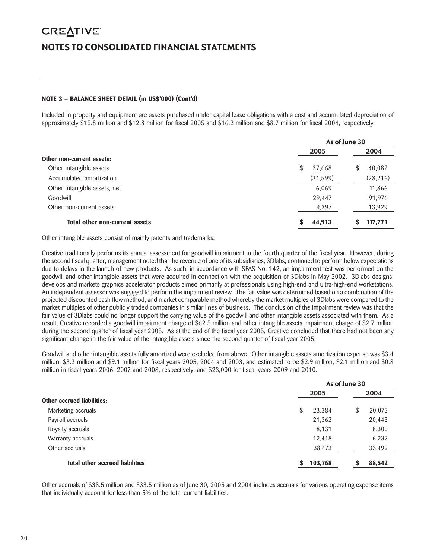# **CREATIVE** NOTES TO CONSOLIDATED FINANCIAL STATEMENTS

#### **NOTE 3 – BALANCE SHEET DETAIL (in US\$'000) (Cont'd)**

Included in property and equipment are assets purchased under capital lease obligations with a cost and accumulated depreciation of approximately \$15.8 million and \$12.8 million for fiscal 2005 and \$16.2 million and \$8.7 million for fiscal 2004, respectively.

|                                       | As of June 30 |             |  |
|---------------------------------------|---------------|-------------|--|
|                                       | 2005          | 2004        |  |
| Other non-current assets:             |               |             |  |
| Other intangible assets               | S.<br>37,668  | 40,082<br>S |  |
| Accumulated amortization              | (31,599)      | (28, 216)   |  |
| Other intangible assets, net          | 6,069         | 11,866      |  |
| Goodwill                              | 29,447        | 91,976      |  |
| Other non-current assets              | 9,397         | 13,929      |  |
| <b>Total other non-current assets</b> | 44,913        | 117,771     |  |

Other intangible assets consist of mainly patents and trademarks.

Creative traditionally performs its annual assessment for goodwill impairment in the fourth quarter of the fiscal year. However, during the second fiscal quarter, management noted that the revenue of one of its subsidiaries, 3Dlabs, continued to perform below expectations due to delays in the launch of new products. As such, in accordance with SFAS No. 142, an impairment test was performed on the goodwill and other intangible assets that were acquired in connection with the acquisition of 3Dlabs in May 2002. 3Dlabs designs, develops and markets graphics accelerator products aimed primarily at professionals using high-end and ultra-high-end workstations. An independent assessor was engaged to perform the impairment review. The fair value was determined based on a combination of the projected discounted cash flow method, and market comparable method whereby the market multiples of 3Dlabs were compared to the market multiples of other publicly traded companies in similar lines of business. The conclusion of the impairment review was that the fair value of 3Dlabs could no longer support the carrying value of the goodwill and other intangible assets associated with them. As a result, Creative recorded a goodwill impairment charge of \$62.5 million and other intangible assets impairment charge of \$2.7 million during the second quarter of fiscal year 2005. As at the end of the fiscal year 2005, Creative concluded that there had not been any significant change in the fair value of the intangible assets since the second quarter of fiscal year 2005.

Goodwill and other intangible assets fully amortized were excluded from above. Other intangible assets amortization expense was \$3.4 million, \$3.3 million and \$9.1 million for fiscal years 2005, 2004 and 2003, and estimated to be \$2.9 million, \$2.1 million and \$0.8 million in fiscal years 2006, 2007 and 2008, respectively, and \$28,000 for fiscal years 2009 and 2010.

|    | 2005    | 2004          |
|----|---------|---------------|
|    |         |               |
| \$ | 23,384  | \$<br>20,075  |
|    | 21,362  | 20,443        |
|    | 8,131   | 8,300         |
|    | 12,418  | 6,232         |
|    | 38,473  | 33,492        |
| S  | 103,768 | 88,542        |
|    |         | As of June 30 |

Other accruals of \$38.5 million and \$33.5 million as of June 30, 2005 and 2004 includes accruals for various operating expense items that individually account for less than 5% of the total current liabilities.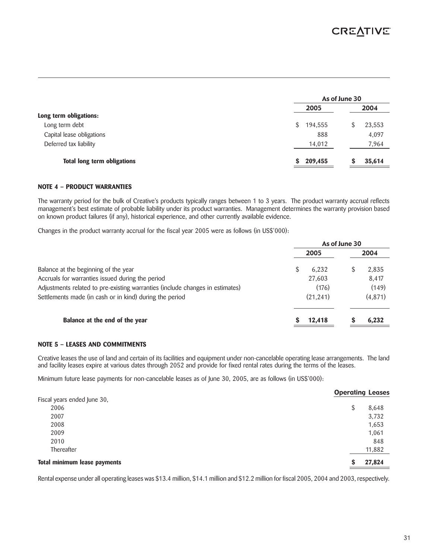|                                    | As of June 30 |        |
|------------------------------------|---------------|--------|
|                                    | 2005          | 2004   |
| Long term obligations:             |               |        |
| Long term debt                     | \$<br>194,555 | 23,553 |
| Capital lease obligations          | 888           | 4,097  |
| Deferred tax liability             | 14,012        | 7,964  |
| <b>Total long term obligations</b> | 209,455<br>S  | 35,614 |

#### **NOTE 4 – PRODUCT WARRANTIES**

The warranty period for the bulk of Creative's products typically ranges between 1 to 3 years. The product warranty accrual reflects management's best estimate of probable liability under its product warranties. Management determines the warranty provision based on known product failures (if any), historical experience, and other currently available evidence.

Changes in the product warranty accrual for the fiscal year 2005 were as follows (in US\$'000):

|                                                                               | As of June 30 |          |  |
|-------------------------------------------------------------------------------|---------------|----------|--|
|                                                                               | 2005          | 2004     |  |
| Balance at the beginning of the year                                          | 6.232         | 2,835    |  |
| Accruals for warranties issued during the period                              | 27,603        | 8,417    |  |
| Adjustments related to pre-existing warranties (include changes in estimates) | (176)         | (149)    |  |
| Settlements made (in cash or in kind) during the period                       | (21, 241)     | (4, 871) |  |
| Balance at the end of the year                                                | 12,418        | 6,232    |  |

#### **NOTE 5 – LEASES AND COMMITMENTS**

Creative leases the use of land and certain of its facilities and equipment under non-cancelable operating lease arrangements. The land and facility leases expire at various dates through 2052 and provide for fixed rental rates during the terms of the leases.

Minimum future lease payments for non-cancelable leases as of June 30, 2005, are as follows (in US\$'000):

|                              |    | <b>Operating Leases</b> |
|------------------------------|----|-------------------------|
| Fiscal years ended June 30,  |    |                         |
| 2006                         | \$ | 8,648                   |
| 2007                         |    | 3,732                   |
| 2008                         |    | 1,653                   |
| 2009                         |    | 1,061                   |
| 2010                         |    | 848                     |
| Thereafter                   |    | 11,882                  |
| Total minimum lease payments | S  | 27,824                  |

Rental expense under all operating leases was \$13.4 million, \$14.1 million and \$12.2 million for fiscal 2005, 2004 and 2003, respectively.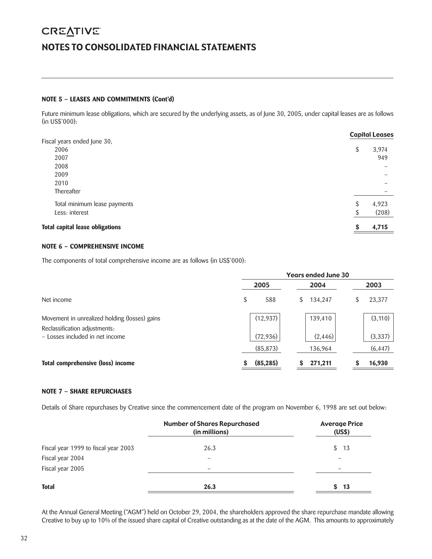# **CREATIVE** NOTES TO CONSOLIDATED FINANCIAL STATEMENTS

#### **NOTE 5 – LEASES AND COMMITMENTS (Cont'd)**

Future minimum lease obligations, which are secured by the underlying assets, as of June 30, 2005, under capital leases are as follows (in US\$'000):

|                                        |    | <b>Capital Leases</b> |
|----------------------------------------|----|-----------------------|
| Fiscal years ended June 30,            |    |                       |
| 2006                                   | \$ | 3,974                 |
| 2007                                   |    | 949                   |
| 2008                                   |    |                       |
| 2009                                   |    |                       |
| 2010                                   |    |                       |
| Thereafter                             |    |                       |
| Total minimum lease payments           | \$ | 4,923                 |
| Less: interest                         | ¢  | (208)                 |
| <b>Total capital lease obligations</b> | S  | 4,715                 |
|                                        |    |                       |

#### **NOTE 6 – COMPREHENSIVE INCOME**

The components of total comprehensive income are as follows (in US\$'000):

|                                                                                |   | <b>Years ended June 30</b> |    |          |  |          |
|--------------------------------------------------------------------------------|---|----------------------------|----|----------|--|----------|
|                                                                                |   | 2005                       |    | 2004     |  | 2003     |
| Net income                                                                     | S | 588                        | S. | 134,247  |  | 23,377   |
| Movement in unrealized holding (losses) gains<br>Reclassification adjustments: |   | (12, 937)                  |    | 139,410  |  | (3, 110) |
| - Losses included in net income                                                |   | (72, 936)                  |    | (2, 446) |  | (3, 337) |
|                                                                                |   | (85, 873)                  |    | 136,964  |  | (6, 447) |
| Total comprehensive (loss) income                                              | S | (85, 285)                  |    | 271,211  |  | 16,930   |

#### **NOTE 7 – SHARE REPURCHASES**

Details of Share repurchases by Creative since the commencement date of the program on November 6, 1998 are set out below:

|                                      | <b>Number of Shares Repurchased</b><br>(in millions) | <b>Average Price</b><br>(US\$) |
|--------------------------------------|------------------------------------------------------|--------------------------------|
| Fiscal year 1999 to fiscal year 2003 | 26.3                                                 | \$13                           |
| Fiscal year 2004                     |                                                      |                                |
| Fiscal year 2005                     |                                                      |                                |
| <b>Total</b>                         | 26.3                                                 | -13<br>S.                      |

At the Annual General Meeting ("AGM") held on October 29, 2004, the shareholders approved the share repurchase mandate allowing Creative to buy up to 10% of the issued share capital of Creative outstanding as at the date of the AGM. This amounts to approximately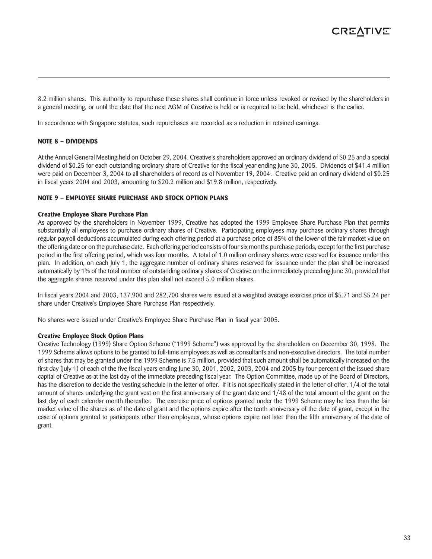8.2 million shares. This authority to repurchase these shares shall continue in force unless revoked or revised by the shareholders in a general meeting, or until the date that the next AGM of Creative is held or is required to be held, whichever is the earlier.

In accordance with Singapore statutes, such repurchases are recorded as a reduction in retained earnings.

#### **NOTE 8 – DIVIDENDS**

At the Annual General Meeting held on October 29, 2004, Creative's shareholders approved an ordinary dividend of \$0.25 and a special dividend of \$0.25 for each outstanding ordinary share of Creative for the fiscal year ending June 30, 2005. Dividends of \$41.4 million were paid on December 3, 2004 to all shareholders of record as of November 19, 2004. Creative paid an ordinary dividend of \$0.25 in fiscal years 2004 and 2003, amounting to \$20.2 million and \$19.8 million, respectively.

#### **NOTE 9 – EMPLOYEE SHARE PURCHASE AND STOCK OPTION PLANS**

#### **Creative Employee Share Purchase Plan**

As approved by the shareholders in November 1999, Creative has adopted the 1999 Employee Share Purchase Plan that permits substantially all employees to purchase ordinary shares of Creative. Participating employees may purchase ordinary shares through regular payroll deductions accumulated during each offering period at a purchase price of 85% of the lower of the fair market value on the offering date or on the purchase date. Each offering period consists of four six months purchase periods, except for the first purchase period in the first offering period, which was four months. A total of 1.0 million ordinary shares were reserved for issuance under this plan. In addition, on each July 1, the aggregate number of ordinary shares reserved for issuance under the plan shall be increased automatically by 1% of the total number of outstanding ordinary shares of Creative on the immediately preceding June 30; provided that the aggregate shares reserved under this plan shall not exceed 5.0 million shares.

In fiscal years 2004 and 2003, 137,900 and 282,700 shares were issued at a weighted average exercise price of \$5.71 and \$5.24 per share under Creative's Employee Share Purchase Plan respectively.

No shares were issued under Creative's Employee Share Purchase Plan in fiscal year 2005.

#### **Creative Employee Stock Option Plans**

Creative Technology (1999) Share Option Scheme ("1999 Scheme") was approved by the shareholders on December 30, 1998. The 1999 Scheme allows options to be granted to full-time employees as well as consultants and non-executive directors. The total number of shares that may be granted under the 1999 Scheme is 7.5 million, provided that such amount shall be automatically increased on the first day (July 1) of each of the five fiscal years ending June 30, 2001, 2002, 2003, 2004 and 2005 by four percent of the issued share capital of Creative as at the last day of the immediate preceding fiscal year. The Option Committee, made up of the Board of Directors, has the discretion to decide the vesting schedule in the letter of offer. If it is not specifically stated in the letter of offer, 1/4 of the total amount of shares underlying the grant vest on the first anniversary of the grant date and 1/48 of the total amount of the grant on the last day of each calendar month thereafter. The exercise price of options granted under the 1999 Scheme may be less than the fair market value of the shares as of the date of grant and the options expire after the tenth anniversary of the date of grant, except in the case of options granted to participants other than employees, whose options expire not later than the fifth anniversary of the date of grant.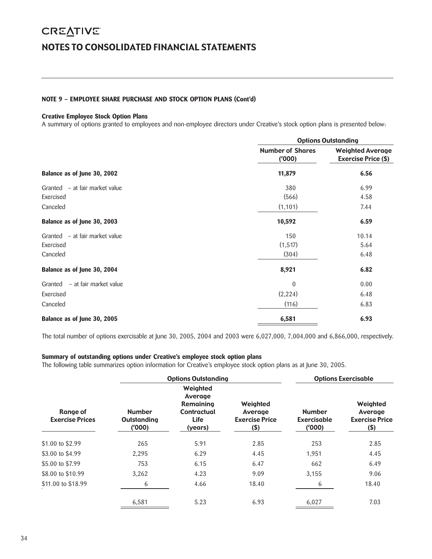# **CREATIVE** NOTES TO CONSOLIDATED FINANCIAL STATEMENTS

#### **NOTE 9 – EMPLOYEE SHARE PURCHASE AND STOCK OPTION PLANS (Cont'd)**

#### **Creative Employee Stock Option Plans**

A summary of options granted to employees and non-employee directors under Creative's stock option plans is presented below:

|                                   |                                  | <b>Options Outstanding</b>                            |
|-----------------------------------|----------------------------------|-------------------------------------------------------|
|                                   | <b>Number of Shares</b><br>(000) | <b>Weighted Average</b><br><b>Exercise Price (\$)</b> |
| Balance as of June 30, 2002       | 11,879                           | 6.56                                                  |
| Granted – at fair market value    | 380                              | 6.99                                                  |
| Exercised                         | (566)                            | 4.58                                                  |
| Canceled                          | (1, 101)                         | 7.44                                                  |
| Balance as of June 30, 2003       | 10,592                           | 6.59                                                  |
| Granted – at fair market value    | 150                              | 10.14                                                 |
| Exercised                         | (1, 517)                         | 5.64                                                  |
| Canceled                          | (304)                            | 6.48                                                  |
| Balance as of June 30, 2004       | 8,921                            | 6.82                                                  |
| - at fair market value<br>Granted | $\Omega$                         | 0.00                                                  |
| Exercised                         | (2, 224)                         | 6.48                                                  |
| Canceled                          | (116)                            | 6.83                                                  |
| Balance as of June 30, 2005       | 6,581                            | 6.93                                                  |

The total number of options exercisable at June 30, 2005, 2004 and 2003 were 6,027,000, 7,004,000 and 6,866,000, respectively.

#### **Summary of outstanding options under Creative's employee stock option plans**

The following table summarizes option information for Creative's employee stock option plans as at June 30, 2005.

|                                    |                                              | <b>Options Outstanding</b>                                                |                                                        | <b>Options Exercisable</b>            |                                                         |  |  |
|------------------------------------|----------------------------------------------|---------------------------------------------------------------------------|--------------------------------------------------------|---------------------------------------|---------------------------------------------------------|--|--|
| Range of<br><b>Exercise Prices</b> | <b>Number</b><br><b>Outstanding</b><br>(000) | Weighted<br>Average<br><b>Remaining</b><br>Contractual<br>Life<br>(years) | Weighted<br>Average<br><b>Exercise Price</b><br>$($ \$ | <b>Number</b><br>Exercisable<br>(000) | Weighted<br>Average<br><b>Exercise Price</b><br>$($ \$) |  |  |
| \$1.00 to \$2.99                   | 265                                          | 5.91                                                                      | 2.85                                                   | 253                                   | 2.85                                                    |  |  |
| \$3.00 to \$4.99                   | 2,295                                        | 6.29                                                                      | 4.45                                                   | 1.951                                 | 4.45                                                    |  |  |
| \$5,00 to \$7.99                   | 753                                          | 6.15                                                                      | 6.47                                                   | 662                                   | 6.49                                                    |  |  |
| \$8.00 to \$10.99                  | 3,262                                        | 4.23                                                                      | 9.09                                                   | 3,155                                 | 9.06                                                    |  |  |
| \$11,00 to \$18.99                 | 6                                            | 4.66                                                                      | 18.40                                                  | 6                                     | 18.40                                                   |  |  |
|                                    | 6,581                                        | 5.23                                                                      | 6.93                                                   | 6,027                                 | 7.03                                                    |  |  |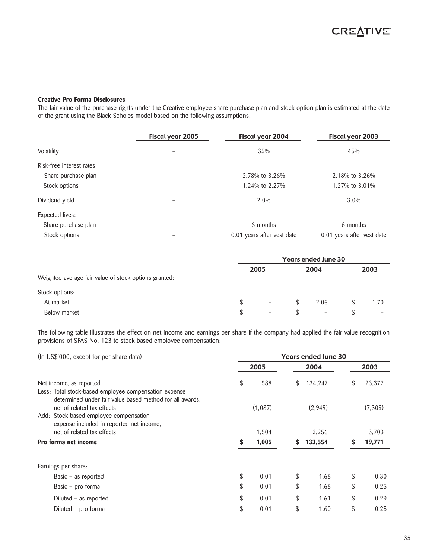#### **Creative Pro Forma Disclosures**

The fair value of the purchase rights under the Creative employee share purchase plan and stock option plan is estimated at the date of the grant using the Black-Scholes model based on the following assumptions:

|                          | Fiscal year 2005 | Fiscal year 2004           | Fiscal year 2003           |
|--------------------------|------------------|----------------------------|----------------------------|
| Volatility               |                  | 35%                        | 45%                        |
| Risk-free interest rates |                  |                            |                            |
| Share purchase plan      |                  | 2.78% to 3.26%             | 2.18% to 3.26%             |
| Stock options            |                  | 1.24% to 2.27%             | 1.27% to 3.01%             |
| Dividend yield           |                  | 2.0%                       | $3.0\%$                    |
| Expected lives:          |                  |                            |                            |
| Share purchase plan      | -                | 6 months                   | 6 months                   |
| Stock options            |                  | 0.01 years after vest date | 0.01 years after vest date |

|                                                       | <b>Years ended June 30</b> |                          |    |                          |  |      |
|-------------------------------------------------------|----------------------------|--------------------------|----|--------------------------|--|------|
|                                                       |                            | 2005                     |    | 2004                     |  | 2003 |
| Weighted average fair value of stock options granted: |                            |                          |    |                          |  |      |
| Stock options:                                        |                            |                          |    |                          |  |      |
| At market                                             | \$.                        | $\equiv$                 | S. | 2.06                     |  | 1.70 |
| Below market                                          | \$.                        | $\overline{\phantom{0}}$ |    | $\overline{\phantom{0}}$ |  |      |

The following table illustrates the effect on net income and earnings per share if the company had applied the fair value recognition provisions of SFAS No. 123 to stock-based employee compensation:

| (In US\$'000, except for per share data)                                                                                                                                     |    | <b>Years ended June 30</b> |      |         |      |         |  |  |
|------------------------------------------------------------------------------------------------------------------------------------------------------------------------------|----|----------------------------|------|---------|------|---------|--|--|
|                                                                                                                                                                              |    | 2005                       | 2004 |         | 2003 |         |  |  |
| Net income, as reported<br>Less: Total stock-based employee compensation expense                                                                                             | \$ | 588                        | \$   | 134,247 | \$   | 23,377  |  |  |
| determined under fair value based method for all awards.<br>net of related tax effects<br>Add: Stock-based employee compensation<br>expense included in reported net income, |    | (1,087)                    |      | (2,949) |      | (7,309) |  |  |
| net of related tax effects                                                                                                                                                   |    | 1,504                      |      | 2,256   |      | 3,703   |  |  |
| Pro forma net income                                                                                                                                                         | S  | 1,005                      | \$   | 133,554 | S    | 19,771  |  |  |
| Earnings per share:                                                                                                                                                          |    |                            |      |         |      |         |  |  |
| Basic $-$ as reported                                                                                                                                                        | \$ | 0.01                       | \$   | 1.66    | \$   | 0.30    |  |  |
| Basic - pro forma                                                                                                                                                            | \$ | 0.01                       | \$   | 1.66    | \$   | 0.25    |  |  |
| Diluted – as reported                                                                                                                                                        | \$ | 0.01                       | \$   | 1.61    | \$   | 0.29    |  |  |
| Diluted - pro forma                                                                                                                                                          | \$ | 0.01                       | \$   | 1.60    | \$   | 0.25    |  |  |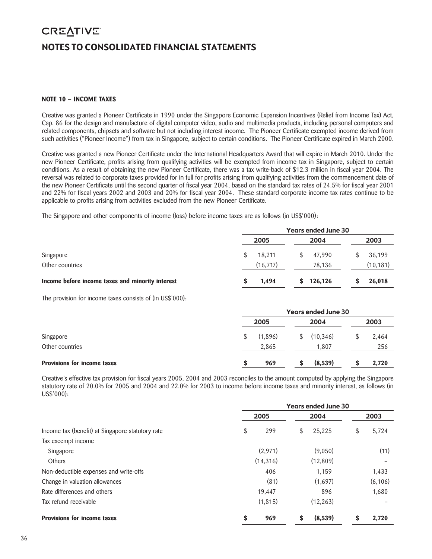# **CREATIVE** NOTES TO CONSOLIDATED FINANCIAL STATEMENTS

#### **NOTE 10 – INCOME TAXES**

Creative was granted a Pioneer Certificate in 1990 under the Singapore Economic Expansion Incentives (Relief from Income Tax) Act, Cap. 86 for the design and manufacture of digital computer video, audio and multimedia products, including personal computers and related components, chipsets and software but not including interest income. The Pioneer Certificate exempted income derived from such activities ("Pioneer Income") from tax in Singapore, subject to certain conditions. The Pioneer Certificate expired in March 2000.

Creative was granted a new Pioneer Certificate under the International Headquarters Award that will expire in March 2010. Under the new Pioneer Certificate, profits arising from qualifying activities will be exempted from income tax in Singapore, subject to certain conditions. As a result of obtaining the new Pioneer Certificate, there was a tax write-back of \$12.3 million in fiscal year 2004. The reversal was related to corporate taxes provided for in full for profits arising from qualifying activities from the commencement date of the new Pioneer Certificate until the second quarter of fiscal year 2004, based on the standard tax rates of 24.5% for fiscal year 2001 and 22% for fiscal years 2002 and 2003 and 20% for fiscal year 2004. These standard corporate income tax rates continue to be applicable to profits arising from activities excluded from the new Pioneer Certificate.

The Singapore and other components of income (loss) before income taxes are as follows (in US\$'000):

|                                                  | <b>Years ended June 30</b> |               |           |  |  |  |
|--------------------------------------------------|----------------------------|---------------|-----------|--|--|--|
|                                                  | 2005                       | 2004          | 2003      |  |  |  |
| Singapore                                        | 18.211                     | 47,990<br>S.  | 36,199    |  |  |  |
| Other countries                                  | (16, 717)                  | 78,136        | (10, 181) |  |  |  |
| Income before income taxes and minority interest | 1,494                      | 126,126<br>S. | 26,018    |  |  |  |

The provision for income taxes consists of (in US\$'000):

|                             | <b>Years ended June 30</b> |         |    |           |  |       |
|-----------------------------|----------------------------|---------|----|-----------|--|-------|
|                             |                            | 2005    |    | 2004      |  | 2003  |
| Singapore                   | \$.                        | (1,896) | S. | (10, 346) |  | 2,464 |
| Other countries             |                            | 2,865   |    | 1,807     |  | 256   |
| Provisions for income taxes |                            | 969     |    | (8,539)   |  | 2,720 |

Creative's effective tax provision for fiscal years 2005, 2004 and 2003 reconciles to the amount computed by applying the Singapore statutory rate of 20.0% for 2005 and 2004 and 22.0% for 2003 to income before income taxes and minority interest, as follows (in US\$'000):

|                                                  | <b>Years ended June 30</b> |           |      |           |   |          |
|--------------------------------------------------|----------------------------|-----------|------|-----------|---|----------|
|                                                  | 2005                       |           | 2004 |           |   | 2003     |
| Income tax (benefit) at Singapore statutory rate | \$                         | 299       | \$   | 25,225    | S | 5,724    |
| Tax excempt income                               |                            |           |      |           |   |          |
| Singapore                                        |                            | (2,971)   |      | (9,050)   |   | (11)     |
| Others                                           |                            | (14, 316) |      | (12, 809) |   |          |
| Non-deductible expenses and write-offs           |                            | 406       |      | 1,159     |   | 1,433    |
| Change in valuation allowances                   |                            | (81)      |      | (1,697)   |   | (6, 106) |
| Rate differences and others                      |                            | 19.447    |      | 896       |   | 1,680    |
| Tax refund receivable                            |                            | (1, 815)  |      | (12, 263) |   |          |
| <b>Provisions for income taxes</b>               | \$                         | 969       | S    | (8,539)   |   | 2,720    |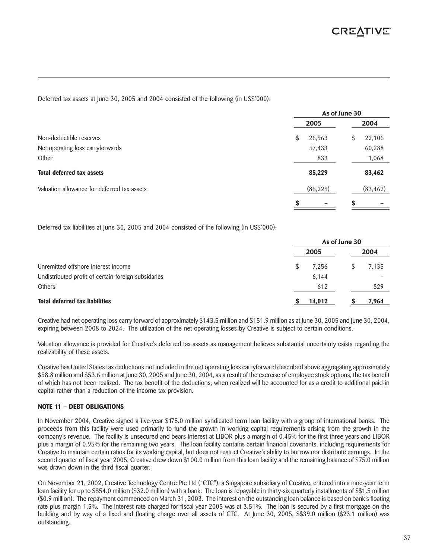Deferred tax assets at June 30, 2005 and 2004 consisted of the following (in US\$'000):

|                                             | As of June 30 |           |      |           |  |
|---------------------------------------------|---------------|-----------|------|-----------|--|
|                                             | 2005          |           | 2004 |           |  |
| Non-deductible reserves                     | \$            | 26,963    | S    | 22,106    |  |
| Net operating loss carryforwards            |               | 57,433    |      | 60,288    |  |
| Other                                       |               | 833       |      | 1,068     |  |
| <b>Total deferred tax assets</b>            |               | 85,229    |      | 83,462    |  |
| Valuation allowance for deferred tax assets |               | (85, 229) |      | (83, 462) |  |
|                                             | S             |           | S    |           |  |

Deferred tax liabilities at June 30, 2005 and 2004 consisted of the following (in US\$'000):

|                                                     | As of June 30 |        |  |       |
|-----------------------------------------------------|---------------|--------|--|-------|
|                                                     |               | 2005   |  | 2004  |
| Unremitted offshore interest income                 |               | 7.256  |  | 7,135 |
| Undistributed profit of certain foreign subsidaries |               | 6.144  |  |       |
| Others                                              |               | 612    |  | 829   |
| <b>Total deferred tax liabilities</b>               |               | 14,012 |  | 7,964 |

Creative had net operating loss carry forward of approximately \$143.5 million and \$151.9 million as at June 30, 2005 and June 30, 2004, expiring between 2008 to 2024. The utilization of the net operating losses by Creative is subject to certain conditions.

Valuation allowance is provided for Creative's deferred tax assets as management believes substantial uncertainty exists regarding the realizability of these assets.

Creative has United States tax deductions not included in the net operating loss carryforward described above aggregating approximately \$58.8 million and \$53.6 million at June 30, 2005 and June 30, 2004, as a result of the exercise of employee stock options, the tax benefit of which has not been realized. The tax benefit of the deductions, when realized will be accounted for as a credit to additional paid-in capital rather than a reduction of the income tax provision.

#### **NOTE 11 – DEBT OBLIGATIONS**

In November 2004, Creative signed a five-year \$175.0 million syndicated term loan facility with a group of international banks. The proceeds from this facility were used primarily to fund the growth in working capital requirements arising from the growth in the company's revenue. The facility is unsecured and bears interest at LIBOR plus a margin of 0.45% for the first three years and LIBOR plus a margin of 0.95% for the remaining two years. The loan facility contains certain financial covenants, including requirements for Creative to maintain certain ratios for its working capital, but does not restrict Creative's ability to borrow nor distribute earnings. In the second quarter of fiscal year 2005, Creative drew down \$100.0 million from this loan facility and the remaining balance of \$75.0 million was drawn down in the third fiscal quarter.

On November 21, 2002, Creative Technology Centre Pte Ltd ("CTC"), a Singapore subsidiary of Creative, entered into a nine-year term loan facility for up to S\$54.0 million (\$32.0 million) with a bank. The loan is repayable in thirty-six quarterly installments of S\$1.5 million (\$0.9 million). The repayment commenced on March 31, 2003. The interest on the outstanding loan balance is based on bank's floating rate plus margin 1.5%. The interest rate charged for fiscal year 2005 was at 3.51%. The loan is secured by a first mortgage on the building and by way of a fixed and floating charge over all assets of CTC. At June 30, 2005, S\$39.0 million (\$23.1 million) was outstanding.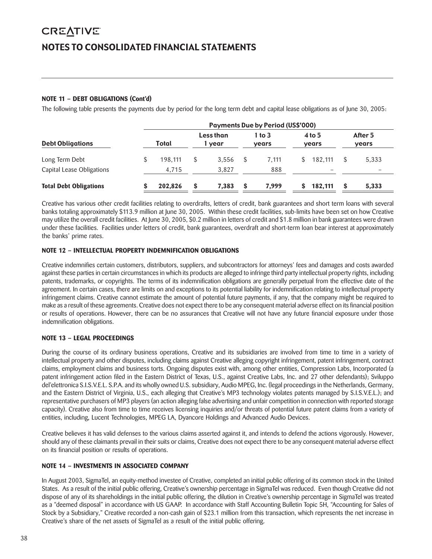# **CREATIVE** NOTES TO CONSOLIDATED FINANCIAL STATEMENTS

#### **NOTE 11 – DEBT OBLIGATIONS (Cont'd)**

The following table presents the payments due by period for the long term debt and capital lease obligations as of June 30, 2005:

|                               |         |   |                     | <b>Payments Due by Period (US\$'000)</b> |    |                   |   |                  |
|-------------------------------|---------|---|---------------------|------------------------------------------|----|-------------------|---|------------------|
| <b>Debt Obligations</b>       | Total   |   | Less than<br>1 year | 1 to $3$<br>years                        |    | $4$ to 5<br>years |   | After 5<br>years |
| Long Term Debt                | 198.111 |   | 3.556               | 7.111                                    | S. | 182.111           | S | 5,333            |
| Capital Lease Obligations     | 4.715   |   | 3.827               | 888                                      |    |                   |   |                  |
| <b>Total Debt Obligations</b> | 202.826 | S | 7.383               | 7.999                                    |    | 182,111           | S | 5,333            |

Creative has various other credit facilities relating to overdrafts, letters of credit, bank guarantees and short term loans with several banks totaling approximately \$113.9 million at June 30, 2005. Within these credit facilities, sub-limits have been set on how Creative may utilize the overall credit facilities. At June 30, 2005, \$0.2 million in letters of credit and \$1.8 million in bank guarantees were drawn under these facilities. Facilities under letters of credit, bank guarantees, overdraft and short-term loan bear interest at approximately the banks' prime rates.

#### **NOTE 12 – INTELLECTUAL PROPERTY INDEMNIFICATION OBLIGATIONS**

Creative indemnifies certain customers, distributors, suppliers, and subcontractors for attorneys' fees and damages and costs awarded against these parties in certain circumstances in which its products are alleged to infringe third party intellectual property rights, including patents, trademarks, or copyrights. The terms of its indemnification obligations are generally perpetual from the effective date of the agreement. In certain cases, there are limits on and exceptions to its potential liability for indemnification relating to intellectual property infringement claims. Creative cannot estimate the amount of potential future payments, if any, that the company might be required to make as a result of these agreements. Creative does not expect there to be any consequent material adverse effect on its financial position or results of operations. However, there can be no assurances that Creative will not have any future financial exposure under those indemnification obligations.

#### **NOTE 13 – LEGAL PROCEEDINGS**

During the course of its ordinary business operations, Creative and its subsidiaries are involved from time to time in a variety of intellectual property and other disputes, including claims against Creative alleging copyright infringement, patent infringement, contract claims, employment claims and business torts. Ongoing disputes exist with, among other entities, Compression Labs, Incorporated (a patent infringement action filed in the Eastern District of Texas, U.S., against Creative Labs, Inc. and 27 other defendants); Sviluppo del'elettronica S.I.S.V.E.L. S.P.A. and its wholly owned U.S. subsidiary, Audio MPEG, Inc. (legal proceedings in the Netherlands, Germany, and the Eastern District of Virginia, U.S., each alleging that Creative's MP3 technology violates patents managed by S.I.S.V.E.L.); and representative purchasers of MP3 players (an action alleging false advertising and unfair competition in connection with reported storage capacity). Creative also from time to time receives licensing inquiries and/or threats of potential future patent claims from a variety of entities, including, Lucent Technologies, MPEG LA, Dyancore Holdings and Advanced Audio Devices.

Creative believes it has valid defenses to the various claims asserted against it, and intends to defend the actions vigorously. However, should any of these claimants prevail in their suits or claims, Creative does not expect there to be any consequent material adverse effect on its financial position or results of operations.

#### **NOTE 14 – INVESTMENTS IN ASSOCIATED COMPANY**

In August 2003, SigmaTel, an equity-method investee of Creative, completed an initial public offering of its common stock in the United States. As a result of the initial public offering, Creative's ownership percentage in SigmaTel was reduced. Even though Creative did not dispose of any of its shareholdings in the initial public offering, the dilution in Creative's ownership percentage in SigmaTel was treated as a "deemed disposal" in accordance with US GAAP. In accordance with Staff Accounting Bulletin Topic 5H, "Accounting for Sales of Stock by a Subsidiary," Creative recorded a non-cash gain of \$23.1 million from this transaction, which represents the net increase in Creative's share of the net assets of SigmaTel as a result of the initial public offering.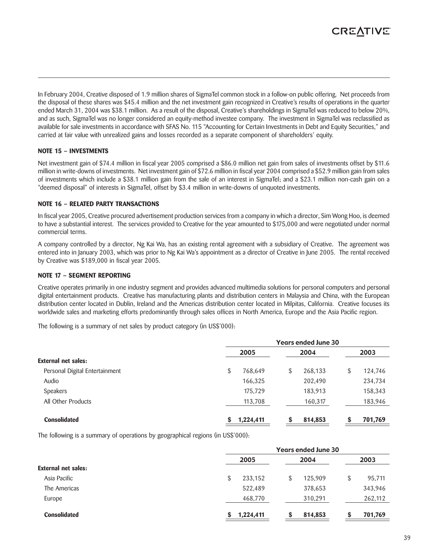

In February 2004, Creative disposed of 1.9 million shares of SigmaTel common stock in a follow-on public offering. Net proceeds from the disposal of these shares was \$45.4 million and the net investment gain recognized in Creative's results of operations in the quarter ended March 31, 2004 was \$38.1 million. As a result of the disposal, Creative's shareholdings in SigmaTel was reduced to below 20%, and as such, SigmaTel was no longer considered an equity-method investee company. The investment in SigmaTel was reclassified as available for sale investments in accordance with SFAS No. 115 "Accounting for Certain Investments in Debt and Equity Securities," and carried at fair value with unrealized gains and losses recorded as a separate component of shareholders' equity.

#### **NOTE 15 – INVESTMENTS**

Net investment gain of \$74.4 million in fiscal year 2005 comprised a \$86.0 million net gain from sales of investments offset by \$11.6 million in write-downs of investments. Net investment gain of \$72.6 million in fiscal year 2004 comprised a \$52.9 million gain from sales of investments which include a \$38.1 million gain from the sale of an interest in SigmaTel; and a \$23.1 million non-cash gain on a "deemed disposal" of interests in SigmaTel, offset by \$3.4 million in write-downs of unquoted investments.

#### **NOTE 16 – RELATED PARTY TRANSACTIONS**

In fiscal year 2005, Creative procured advertisement production services from a company in which a director, Sim Wong Hoo, is deemed to have a substantial interest. The services provided to Creative for the year amounted to \$175,000 and were negotiated under normal commercial terms.

A company controlled by a director, Ng Kai Wa, has an existing rental agreement with a subsidiary of Creative. The agreement was entered into in January 2003, which was prior to Ng Kai Wa's appointment as a director of Creative in June 2005. The rental received by Creative was \$189,000 in fiscal year 2005.

#### **NOTE 17 – SEGMENT REPORTING**

Creative operates primarily in one industry segment and provides advanced multimedia solutions for personal computers and personal digital entertainment products. Creative has manufacturing plants and distribution centers in Malaysia and China, with the European distribution center located in Dublin, Ireland and the Americas distribution center located in Milpitas, California. Creative focuses its worldwide sales and marketing efforts predominantly through sales offices in North America, Europe and the Asia Pacific region.

The following is a summary of net sales by product category (in US\$'000):

|                                | <b>Years ended June 30</b> |    |         |    |         |
|--------------------------------|----------------------------|----|---------|----|---------|
|                                | 2005                       |    | 2004    |    | 2003    |
| <b>External net sales:</b>     |                            |    |         |    |         |
| Personal Digital Entertainment | \$<br>768,649              | \$ | 268,133 | \$ | 124,746 |
| Audio                          | 166,325                    |    | 202,490 |    | 234,734 |
| Speakers                       | 175,729                    |    | 183,913 |    | 158,343 |
| All Other Products             | 113,708                    |    | 160,317 |    | 183,946 |
| <b>Consolidated</b>            | 1,224,411                  | S  | 814,853 | S  | 701,769 |

The following is a summary of operations by geographical regions (in US\$'000):

|                            | <b>Years ended June 30</b> |         |              |  |  |
|----------------------------|----------------------------|---------|--------------|--|--|
|                            | 2005                       | 2004    | 2003         |  |  |
| <b>External net sales:</b> |                            |         |              |  |  |
| Asia Pacific               | \$<br>233,152              | 125,909 | \$<br>95,711 |  |  |
| The Americas               | 522,489                    | 378,653 | 343,946      |  |  |
| Europe                     | 468,770                    | 310,291 | 262,112      |  |  |
| <b>Consolidated</b>        | 1,224,411<br>S             | 814,853 | 701,769      |  |  |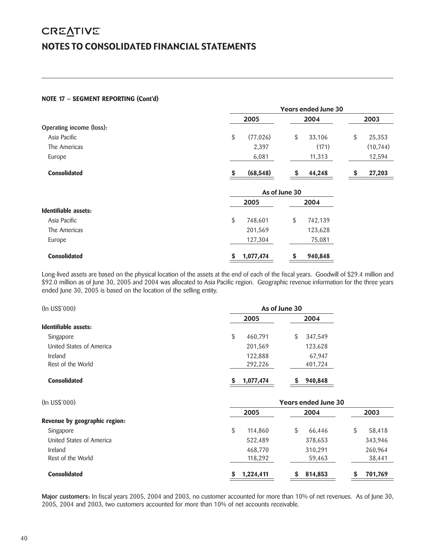## **CREATIVE** NOTES TO CONSOLIDATED FINANCIAL STATEMENTS

#### **NOTE 17 – SEGMENT REPORTING (Cont'd)**

|                          | <b>Years ended June 30</b> |               |              |  |  |
|--------------------------|----------------------------|---------------|--------------|--|--|
|                          | 2005                       | 2004          | 2003         |  |  |
| Operating income (loss): |                            |               |              |  |  |
| Asia Pacific             | \$<br>(77, 026)            | \$<br>33,106  | \$<br>25,353 |  |  |
| The Americas             | 2,397                      | (171)         | (10, 744)    |  |  |
| Europe                   | 6,081                      | 11,313        | 12,594       |  |  |
| <b>Consolidated</b>      | (68, 548)<br>\$            | \$<br>44,248  | 27,203<br>\$ |  |  |
|                          |                            | As of June 30 |              |  |  |
|                          | 2005                       | 2004          |              |  |  |
| Identifiable assets:     |                            |               |              |  |  |
| Asia Pacific             | \$<br>748,601              | \$<br>742,139 |              |  |  |
| The Americas             | 201,569                    | 123,628       |              |  |  |
| Europe                   | 127,304                    | 75,081        |              |  |  |
| <b>Consolidated</b>      | 1,077,474<br>\$            | \$<br>940,848 |              |  |  |

Long-lived assets are based on the physical location of the assets at the end of each of the fiscal years. Goodwill of \$29.4 million and \$92.0 million as of June 30, 2005 and 2004 was allocated to Asia Pacific region. Geographic revenue information for the three years ended June 30, 2005 is based on the location of the selling entity.

| (In USS'000)             | As of June 30 |              |  |  |
|--------------------------|---------------|--------------|--|--|
|                          | 2005          | 2004         |  |  |
| Identifiable assets:     |               |              |  |  |
| Singapore                | \$<br>460,791 | 347,549<br>S |  |  |
| United States of America | 201,569       | 123,628      |  |  |
| Ireland                  | 122,888       | 67,947       |  |  |
| Rest of the World        | 292,226       | 401,724      |  |  |
| <b>Consolidated</b>      | 1,077,474     | 940,848      |  |  |

| (In US\$'000)                       | <b>Years ended June 30</b> |                   |                   |  |  |
|-------------------------------------|----------------------------|-------------------|-------------------|--|--|
| Revenue by geographic region:       | 2005                       | 2004              | 2003              |  |  |
| Singapore                           | \$<br>114,860              | \$<br>66,446      | S<br>58,418       |  |  |
| United States of America            | 522,489                    | 378,653           | 343,946           |  |  |
| <b>Ireland</b><br>Rest of the World | 468,770<br>118,292         | 310,291<br>59,463 | 260,964<br>38,441 |  |  |
| <b>Consolidated</b>                 | 1,224,411                  | 814,853<br>S      | 701,769<br>S      |  |  |

**Major customers:** In fiscal years 2005, 2004 and 2003, no customer accounted for more than 10% of net revenues. As of June 30, 2005, 2004 and 2003, two customers accounted for more than 10% of net accounts receivable.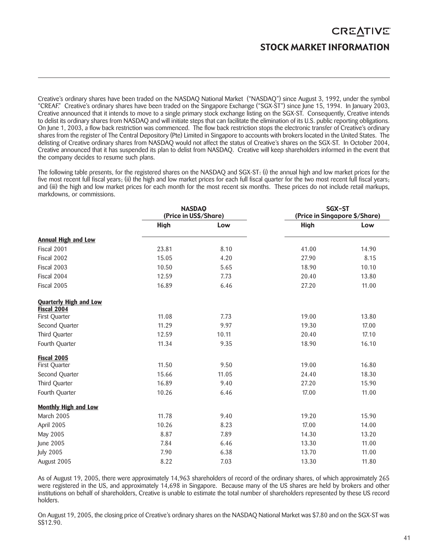# **CREATIVE** STOCK MARKET INFORMATION

Creative's ordinary shares have been traded on the NASDAQ National Market ("NASDAQ") since August 3, 1992, under the symbol "CREAF." Creative's ordinary shares have been traded on the Singapore Exchange ("SGX-ST") since June 15, 1994. In January 2003, Creative announced that it intends to move to a single primary stock exchange listing on the SGX-ST. Consequently, Creative intends to delist its ordinary shares from NASDAQ and will initiate steps that can facilitate the elimination of its U.S. public reporting obligations. On June 1, 2003, a flow back restriction was commenced. The flow back restriction stops the electronic transfer of Creative's ordinary shares from the register of The Central Depository (Pte) Limited in Singapore to accounts with brokers located in the United States. The delisting of Creative ordinary shares from NASDAQ would not affect the status of Creative's shares on the SGX-ST. In October 2004, Creative announced that it has suspended its plan to delist from NASDAQ. Creative will keep shareholders informed in the event that the company decides to resume such plans.

The following table presents, for the registered shares on the NASDAQ and SGX-ST: (i) the annual high and low market prices for the five most recent full fiscal years; (ii) the high and low market prices for each full fiscal quarter for the two most recent full fiscal years; and (iii) the high and low market prices for each month for the most recent six months. These prices do not include retail markups, markdowns, or commissions.

|                               | <b>NASDAQ</b><br>(Price in US\$/Share) |       |       | SGX-ST<br>(Price in Singapore \$/Share) |
|-------------------------------|----------------------------------------|-------|-------|-----------------------------------------|
|                               | <b>High</b>                            | Low   | High  | Low                                     |
| <b>Annual High and Low</b>    |                                        |       |       |                                         |
| Fiscal 2001                   | 23.81                                  | 8.10  | 41.00 | 14.90                                   |
| Fiscal 2002                   | 15.05                                  | 4.20  | 27.90 | 8.15                                    |
| Fiscal 2003                   | 10.50                                  | 5.65  | 18.90 | 10.10                                   |
| Fiscal 2004                   | 12.59                                  | 7.73  | 20.40 | 13.80                                   |
| Fiscal 2005                   | 16.89                                  | 6.46  | 27.20 | 11.00                                   |
| <b>Quarterly High and Low</b> |                                        |       |       |                                         |
| Fiscal 2004<br>First Quarter  | 11.08                                  | 7.73  | 19.00 | 13.80                                   |
| Second Quarter                | 11.29                                  | 9.97  | 19.30 | 17.00                                   |
| Third Quarter                 | 12.59                                  | 10.11 | 20.40 | 17.10                                   |
| Fourth Quarter                | 11.34                                  | 9.35  | 18.90 | 16.10                                   |
| Fiscal 2005                   |                                        |       |       |                                         |
| First Quarter                 | 11.50                                  | 9.50  | 19.00 | 16.80                                   |
| Second Quarter                | 15.66                                  | 11.05 | 24.40 | 18.30                                   |
| Third Quarter                 | 16.89                                  | 9.40  | 27.20 | 15.90                                   |
| Fourth Quarter                | 10.26                                  | 6.46  | 17.00 | 11.00                                   |
| <b>Monthly High and Low</b>   |                                        |       |       |                                         |
| March 2005                    | 11.78                                  | 9.40  | 19.20 | 15.90                                   |
| April 2005                    | 10.26                                  | 8.23  | 17.00 | 14.00                                   |
| May 2005                      | 8.87                                   | 7.89  | 14.30 | 13.20                                   |
| June 2005                     | 7.84                                   | 6.46  | 13.30 | 11.00                                   |
| <b>July 2005</b>              | 7.90                                   | 6.38  | 13.70 | 11.00                                   |
| August 2005                   | 8.22                                   | 7.03  | 13.30 | 11.80                                   |

As of August 19, 2005, there were approximately 14,963 shareholders of record of the ordinary shares, of which approximately 265 were registered in the US, and approximately 14,698 in Singapore. Because many of the US shares are held by brokers and other institutions on behalf of shareholders, Creative is unable to estimate the total number of shareholders represented by these US record holders.

On August 19, 2005, the closing price of Creative's ordinary shares on the NASDAQ National Market was \$7.80 and on the SGX-ST was S\$12.90.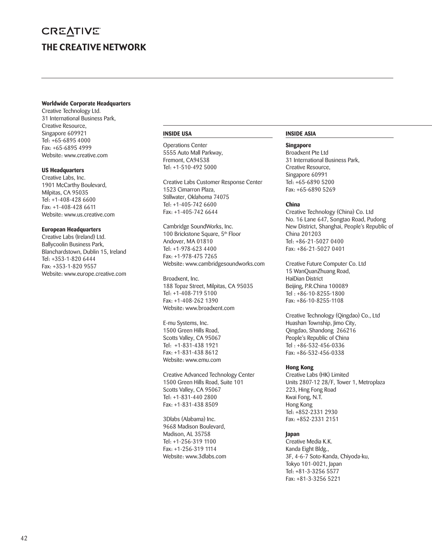# **CREATIVE** THE CREATIVE NETWORK

#### **Worldwide Corporate Headquarters**

Creative Technology Ltd. 31 International Business Park, Creative Resource, Singapore 609921 Tel: +65-6895 4000 Fax: +65-6895 4999 Website: www.creative.com

#### **US Headquarters**

Creative Labs, Inc. 1901 McCarthy Boulevard, Milpitas, CA 95035 Tel: +1-408-428 6600 Fax: +1-408-428 6611 Website: www.us.creative.com

#### **European Headquarters**

Creative Labs (Ireland) Ltd. Ballycoolin Business Park, Blanchardstown, Dublin 15, Ireland Tel: +353-1-820 6444 Fax: +353-1-820 9557 Website: www.europe.creative.com

#### **INSIDE USA**

Operations Center 5555 Auto Mall Parkway, Fremont, CA94538 Tel: +1-510-492 5000

Creative Labs Customer Response Center 1523 Cimarron Plaza, Stillwater, Oklahoma 74075 Tel: +1-405-742 6600 Fax: +1-405-742 6644

Cambridge SoundWorks, Inc. 100 Brickstone Square, 5<sup>th</sup> Floor Andover, MA 01810 Tel: +1-978-623 4400 Fax: +1-978-475 7265 Website: www.cambridgesoundworks.com

Broadxent, Inc. 188 Topaz Street, Milpitas, CA 95035 Tel: +1-408-719 5100 Fax: +1-408-262 1390 Website: www.broadxent.com

E-mu Systems, Inc. 1500 Green Hills Road, Scotts Valley, CA 95067 Tel: +1-831-438 1921 Fax: +1-831-438 8612 Website: www.emu.com

Creative Advanced Technology Center 1500 Green Hills Road, Suite 101 Scotts Valley, CA 95067 Tel: +1-831-440 2800 Fax: +1-831-438 8509

3Dlabs (Alabama) Inc. 9668 Madison Boulevard, Madison, AL 35758 Tel: +1-256-319 1100 Fax: +1-256-319 1114 Website: www.3dlabs.com

#### **INSIDE ASIA**

#### **Singapore**

Broadxent Pte Ltd 31 International Business Park, Creative Resource, Singapore 60991 Tel: +65-6890 5200 Fax: +65-6890 5269

#### **China**

Creative Technology (China) Co. Ltd No. 16 Lane 647, Songtao Road, Pudong New District, Shanghai, People's Republic of China 201203 Tel: +86-21-5027 0400 Fax: +86-21-5027 0401

Creative Future Computer Co. Ltd 15 WanQuanZhuang Road, HaiDian District Beijing, P.R.China 100089 Tel : +86-10-8255-1800 Fax: +86-10-8255-1108

Creative Technology (Qingdao) Co., Ltd Huashan Township, Jimo City, Qingdao, Shandong 266216 People's Republic of China Tel : +86-532-456-0336 Fax: +86-532-456-0338

#### **Hong Kong**

Creative Labs (HK) Limited Units 2807-12 28/F, Tower 1, Metroplaza 223, Hing Fong Road Kwai Fong, N.T. Hong Kong Tel: +852-2331 2930 Fax: +852-2331 2151

#### **Japan**

Creative Media K.K. Kanda Eight Bldg., 3F, 4-6-7 Soto-Kanda, Chiyoda-ku, Tokyo 101-0021, Japan Tel: +81-3-3256 5577 Fax: +81-3-3256 5221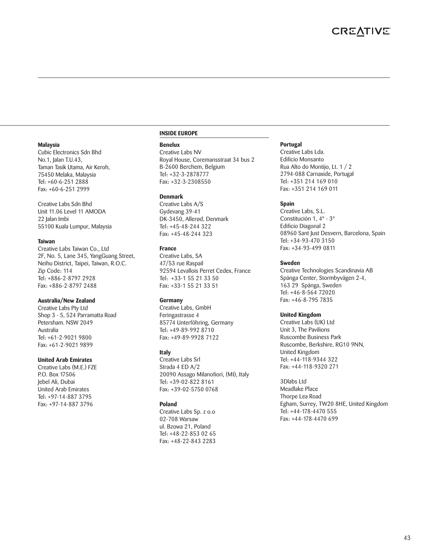#### **Malaysia**

Cubic Electronics Sdn Bhd No.1, Jalan T.U.43, Taman Tasik Utama, Air Keroh, 75450 Melaka, Malaysia Tel: +60-6-251 2888 Fax: +60-6-251 2999

Creative Labs Sdn Bhd Unit 11.06 Level 11 AMODA 22 Jalan Imbi 55100 Kuala Lumpur, Malaysia

#### **Taiwan**

Creative Labs Taiwan Co., Ltd 2F, No. 5, Lane 345, YangGuang Street, Neihu District, Taipei, Taiwan, R.O.C. Zip Code: 114 Tel: +886-2-8797 2928 Fax: +886-2-8797 2488

#### **Australia/New Zealand**

Creative Labs Pty Ltd Shop 3 - 5, 524 Parramatta Road Petersham. NSW 2049 Australia Tel: +61-2-9021 9800 Fax: +61-2-9021 9899

#### **United Arab Emirates**

Creative Labs (M.E.) FZE P.O. Box 17506 Jebel Ali, Dubai United Arab Emirates Tel: +97-14-887 3795 Fax: +97-14-887 3796

#### **INSIDE EUROPE**

#### **Benelux**

Creative Labs NV Royal House, Coremansstraat 34 bus 2 B-2600 Berchem, Belgium Tel: +32-3-2878777 Fax: +32-3-2308550

#### **Denmark**

Creative Labs A/S Gydevang 39-41 DK-3450, Allerød, Denmark Tel: +45-48-244 322 Fax: +45-48-244 323

#### **France**

Creative Labs, SA 47/53 rue Raspail 92594 Levallois Perret Cedex, France Tel: +33-1 55 21 33 50 Fax: +33-1 55 21 33 51

#### **Germany**

Creative Labs, GmbH Feringastrasse 4 85774 Unterföhring, Germany Tel: +49-89-992 8710 Fax: +49-89-9928 7122

#### **Italy**

Creative Labs Srl Strada 4 ED A/2 20090 Assago Milanofiori, (MI), Italy Tel: +39-02-822 8161 Fax: +39-02-5750 0768

#### **Poland**

Creative Labs Sp. z o.o 02-708 Warsaw ul. Bzowa 21, Poland Tel: +48-22-853 02 65 Fax: +48-22-843 2283

#### **Portugal**

Creative Labs Lda. Edificio Monsanto Rua Alto do Montijo, Lt. 1 / 2 2794-088 Carnaxide, Portugal Tel: +351 214 169 010 Fax: +351 214 169 011

#### **Spain**

Creative Labs, S.L. Constitución 1, 4º - 3º Edificio Diagonal 2 08960 Sant Just Desvern, Barcelona, Spain Tel: +34-93-470 3150 Fax: +34-93-499 0811

#### **Sweden**

Creative Technologies Scandinavia AB Spånga Center, Stormbyvägen 2-4, 163 29 Spånga, Sweden Tel: +46-8-564 72020 Fax: +46-8-795 7835

#### **United Kingdom**

Creative Labs (UK) Ltd Unit 3, The Pavilions Ruscombe Business Park Ruscombe, Berkshire, RG10 9NN, United Kingdom Tel: +44-118-9344 322 Fax: +44-118-9320 271

3Dlabs Ltd Meadlake Place Thorpe Lea Road Egham, Surrey, TW20 8HE, United Kingdom Tel: +44-178-4470 555 Fax: +44-178-4470 699